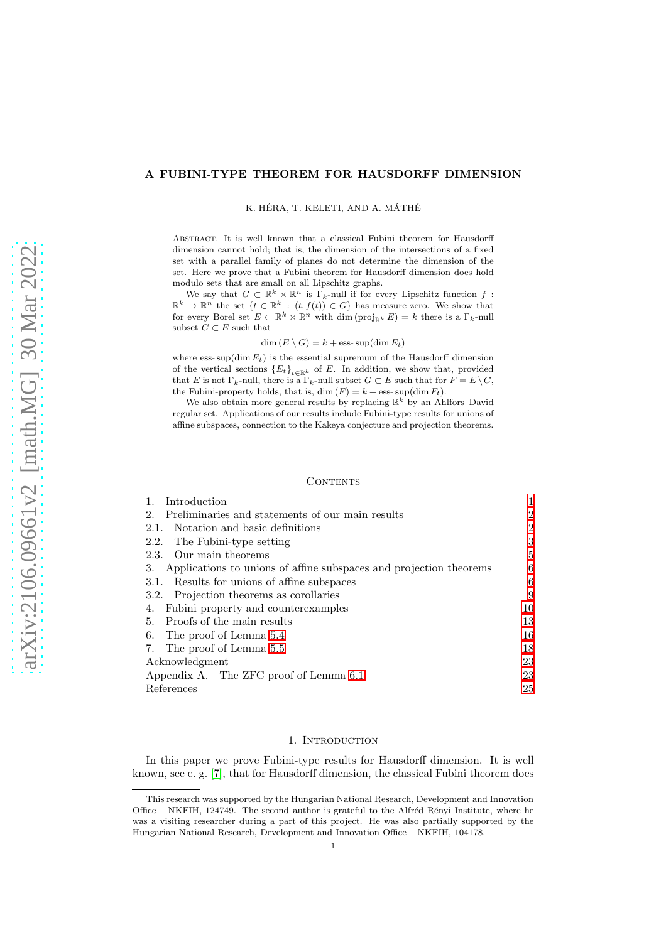# A FUBINI-TYPE THEOREM FOR HAUSDORFF DIMENSION

K. HÉRA, T. KELETI, AND A. MÁTHÉ

Abstract. It is well known that a classical Fubini theorem for Hausdorff dimension cannot hold; that is, the dimension of the intersections of a fixed set with a parallel family of planes do not determine the dimension of the set. Here we prove that a Fubini theorem for Hausdorff dimension does hold modulo sets that are small on all Lipschitz graphs.

We say that  $G \subset \mathbb{R}^k \times \mathbb{R}^n$  is  $\Gamma_k$ -null if for every Lipschitz function f:  $\mathbb{R}^k \to \mathbb{R}^n$  the set  $\{t \in \mathbb{R}^k : (t, f(t)) \in G\}$  has measure zero. We show that for every Borel set  $E \subset \mathbb{R}^k \times \mathbb{R}^n$  with dim  $(\text{proj}_{\mathbb{R}^k} E) = k$  there is a  $\Gamma_k$ -null subset  $G \subset E$  such that

#### $\dim(E \setminus G) = k + \text{ess-sup}(\dim E_t)$

where ess- $\sup(\dim E_t)$  is the essential supremum of the Hausdorff dimension of the vertical sections  ${E_t}_{t \in \mathbb{R}^k}$  of E. In addition, we show that, provided that E is not  $\Gamma_k$ -null, there is a  $\Gamma_k$ -null subset  $G \subset E$  such that for  $F = E \setminus G$ , the Fubini-property holds, that is, dim  $(F) = k + \text{ess-sup}(\text{dim } F_t)$ .

We also obtain more general results by replacing  $\mathbb{R}^k$  by an Ahlfors–David regular set. Applications of our results include Fubini-type results for unions of affine subspaces, connection to the Kakeya conjecture and projection theorems.

#### **CONTENTS**

| 1.<br>Introduction                                                    |                |
|-----------------------------------------------------------------------|----------------|
| 2. Preliminaries and statements of our main results                   | $\overline{2}$ |
| 2.1. Notation and basic definitions                                   | 2              |
| 2.2. The Fubini-type setting                                          | 3              |
| 2.3. Our main theorems                                                | 5              |
| 3. Applications to unions of affine subspaces and projection theorems | 6              |
| 3.1. Results for unions of affine subspaces                           | 6              |
| 3.2. Projection theorems as corollaries                               | 9              |
| 4. Fubini property and counterexamples                                | 10             |
| 5. Proofs of the main results                                         | 13             |
| 6. The proof of Lemma 5.4                                             | 16             |
| 7. The proof of Lemma 5.5                                             | 18             |
| Acknowledgment                                                        | 23             |
| Appendix A. The ZFC proof of Lemma 6.1                                | 23             |
| References                                                            | 25             |

#### 1. INTRODUCTION

<span id="page-0-0"></span>In this paper we prove Fubini-type results for Hausdorff dimension. It is well known, see e. g. [\[7\]](#page-25-0), that for Hausdorff dimension, the classical Fubini theorem does

This research was supported by the Hungarian National Research, Development and Innovation Office – NKFIH, 124749. The second author is grateful to the Alfréd Rényi Institute, where he was a visiting researcher during a part of this project. He was also partially supported by the Hungarian National Research, Development and Innovation Office – NKFIH, 104178.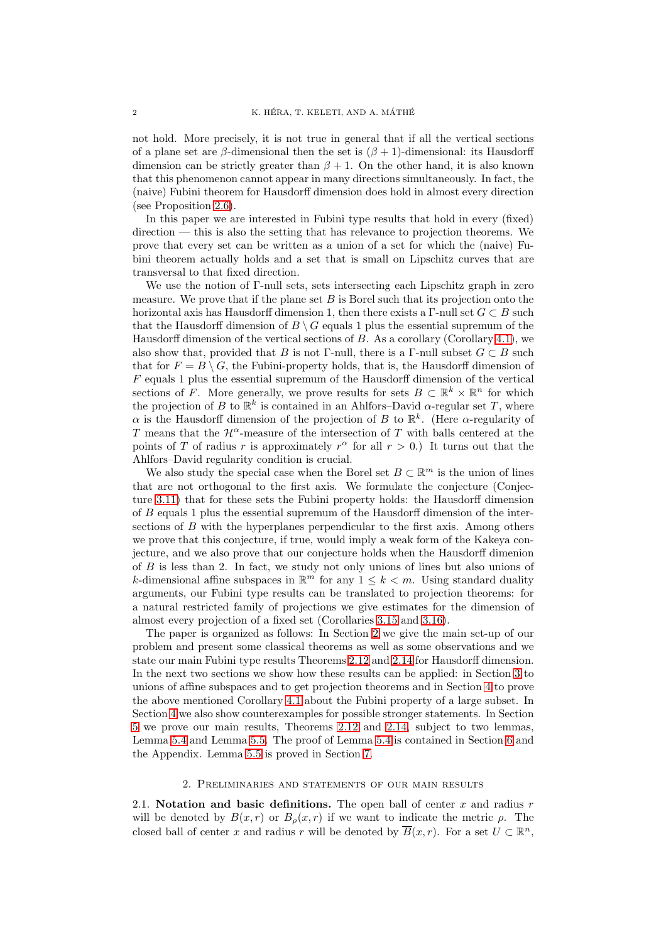not hold. More precisely, it is not true in general that if all the vertical sections of a plane set are  $\beta$ -dimensional then the set is  $(\beta + 1)$ -dimensional: its Hausdorff dimension can be strictly greater than  $\beta + 1$ . On the other hand, it is also known that this phenomenon cannot appear in many directions simultaneously. In fact, the (naive) Fubini theorem for Hausdorff dimension does hold in almost every direction (see Proposition [2.6\)](#page-3-0).

In this paper we are interested in Fubini type results that hold in every (fixed) direction — this is also the setting that has relevance to projection theorems. We prove that every set can be written as a union of a set for which the (naive) Fubini theorem actually holds and a set that is small on Lipschitz curves that are transversal to that fixed direction.

We use the notion of Γ-null sets, sets intersecting each Lipschitz graph in zero measure. We prove that if the plane set  $B$  is Borel such that its projection onto the horizontal axis has Hausdorff dimension 1, then there exists a  $\Gamma$ -null set  $G \subset B$  such that the Hausdorff dimension of  $B \setminus G$  equals 1 plus the essential supremum of the Hausdorff dimension of the vertical sections of  $B$ . As a corollary (Corollary [4.1\)](#page-10-0), we also show that, provided that B is not Γ-null, there is a Γ-null subset  $G \subset B$  such that for  $F = B \setminus G$ , the Fubini-property holds, that is, the Hausdorff dimension of  $F$  equals 1 plus the essential supremum of the Hausdorff dimension of the vertical sections of F. More generally, we prove results for sets  $B \subset \mathbb{R}^k \times \mathbb{R}^n$  for which the projection of B to  $\mathbb{R}^k$  is contained in an Ahlfors–David  $\alpha$ -regular set T, where  $\alpha$  is the Hausdorff dimension of the projection of B to  $\mathbb{R}^k$ . (Here  $\alpha$ -regularity of T means that the  $\mathcal{H}^{\alpha}$ -measure of the intersection of T with balls centered at the points of T of radius r is approximately  $r^{\alpha}$  for all  $r > 0$ .) It turns out that the Ahlfors–David regularity condition is crucial.

We also study the special case when the Borel set  $B \subset \mathbb{R}^m$  is the union of lines that are not orthogonal to the first axis. We formulate the conjecture (Conjecture [3.11\)](#page-7-0) that for these sets the Fubini property holds: the Hausdorff dimension of B equals 1 plus the essential supremum of the Hausdorff dimension of the intersections of B with the hyperplanes perpendicular to the first axis. Among others we prove that this conjecture, if true, would imply a weak form of the Kakeya conjecture, and we also prove that our conjecture holds when the Hausdorff dimenion of B is less than 2. In fact, we study not only unions of lines but also unions of k-dimensional affine subspaces in  $\mathbb{R}^m$  for any  $1 \leq k < m$ . Using standard duality arguments, our Fubini type results can be translated to projection theorems: for a natural restricted family of projections we give estimates for the dimension of almost every projection of a fixed set (Corollaries [3.15](#page-8-1) and [3.16\)](#page-9-1).

The paper is organized as follows: In Section [2](#page-1-0) we give the main set-up of our problem and present some classical theorems as well as some observations and we state our main Fubini type results Theorems [2.12](#page-4-1) and [2.14](#page-4-2) for Hausdorff dimension. In the next two sections we show how these results can be applied: in Section [3](#page-5-0) to unions of affine subspaces and to get projection theorems and in Section [4](#page-9-0) to prove the above mentioned Corollary [4.1](#page-10-0) about the Fubini property of a large subset. In Section [4](#page-9-0) we also show counterexamples for possible stronger statements. In Section [5](#page-12-0) we prove our main results, Theorems [2.12](#page-4-1) and [2.14,](#page-4-2) subject to two lemmas, Lemma [5.4](#page-14-0) and Lemma [5.5.](#page-14-1) The proof of Lemma [5.4](#page-14-0) is contained in Section [6](#page-15-0) and the Appendix. Lemma [5.5](#page-14-1) is proved in Section [7.](#page-17-0)

#### 2. Preliminaries and statements of our main results

<span id="page-1-1"></span><span id="page-1-0"></span>2.1. Notation and basic definitions. The open ball of center x and radius  $r$ will be denoted by  $B(x, r)$  or  $B_{\rho}(x, r)$  if we want to indicate the metric  $\rho$ . The closed ball of center x and radius r will be denoted by  $\overline{B}(x, r)$ . For a set  $U \subset \mathbb{R}^n$ ,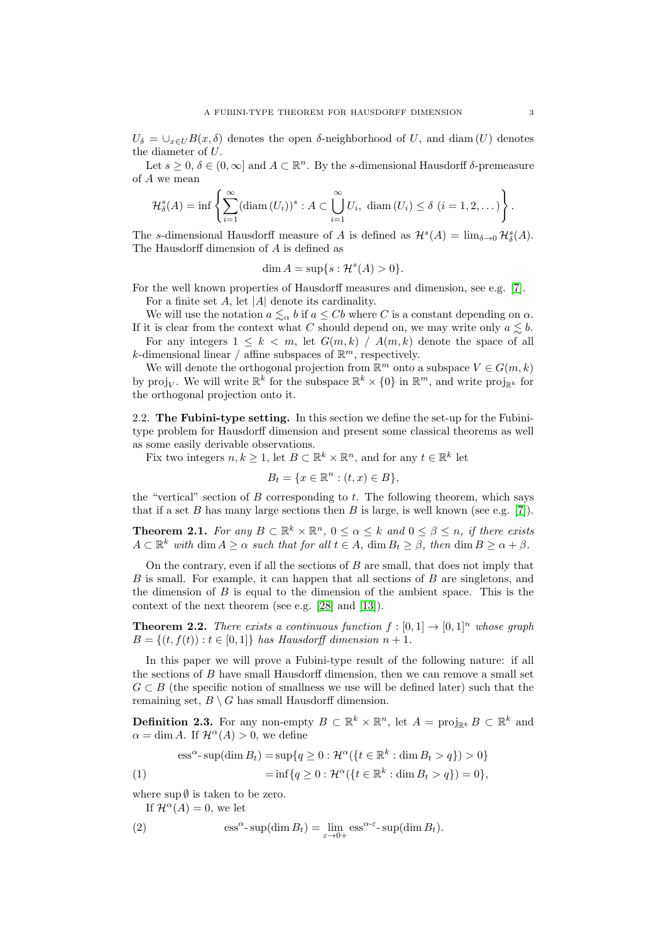$U_{\delta} = \bigcup_{x \in U} B(x, \delta)$  denotes the open  $\delta$ -neighborhood of U, and diam (U) denotes the diameter of U.

Let  $s \geq 0$ ,  $\delta \in (0,\infty]$  and  $A \subset \mathbb{R}^n$ . By the s-dimensional Hausdorff  $\delta$ -premeasure of A we mean

$$
\mathcal{H}_{\delta}^{s}(A)=\inf\left\{\sum_{i=1}^{\infty}(\text{diam}\,(U_{i}))^{s}:A\subset\bigcup_{i=1}^{\infty}U_{i},\text{ diam}\,(U_{i})\leq\delta\ (i=1,2,\dots)\right\}.
$$

The s-dimensional Hausdorff measure of A is defined as  $\mathcal{H}^s(A) = \lim_{\delta \to 0} \mathcal{H}^s_{\delta}(A)$ . The Hausdorff dimension of A is defined as

$$
\dim A = \sup\{s : \mathcal{H}^s(A) > 0\}.
$$

For the well known properties of Hausdorff measures and dimension, see e.g. [\[7\]](#page-25-0). For a finite set  $A$ , let  $|A|$  denote its cardinality.

We will use the notation  $a \leq \alpha b$  if  $a \leq Cb$  where C is a constant depending on  $\alpha$ . If it is clear from the context what C should depend on, we may write only  $a \leq b$ .

For any integers  $1 \leq k \leq m$ , let  $G(m, k) / A(m, k)$  denote the space of all k-dimensional linear / affine subspaces of  $\mathbb{R}^m$ , respectively.

We will denote the orthogonal projection from  $\mathbb{R}^m$  onto a subspace  $V \in G(m, k)$ by proj<sub>V</sub>. We will write  $\mathbb{R}^k$  for the subspace  $\mathbb{R}^k \times \{0\}$  in  $\mathbb{R}^m$ , and write proj<sub>R<sup>k</sub></sup> for</sub> the orthogonal projection onto it.

<span id="page-2-0"></span>2.2. The Fubini-type setting. In this section we define the set-up for the Fubinitype problem for Hausdorff dimension and present some classical theorems as well as some easily derivable observations.

Fix two integers  $n, k \geq 1$ , let  $B \subset \mathbb{R}^k \times \mathbb{R}^n$ , and for any  $t \in \mathbb{R}^k$  let

$$
B_t = \{x \in \mathbb{R}^n : (t, x) \in B\},\
$$

the "vertical" section of  $B$  corresponding to  $t$ . The following theorem, which says that if a set B has many large sections then B is large, is well known (see e.g. [\[7\]](#page-25-0)).

<span id="page-2-1"></span>**Theorem 2.1.** For any  $B \subset \mathbb{R}^k \times \mathbb{R}^n$ ,  $0 \le \alpha \le k$  and  $0 \le \beta \le n$ , if there exists  $A \subset \mathbb{R}^k$  with dim  $A \ge \alpha$  such that for all  $t \in A$ , dim  $B_t \ge \beta$ , then dim  $B \ge \alpha + \beta$ .

On the contrary, even if all the sections of  $B$  are small, that does not imply that B is small. For example, it can happen that all sections of B are singletons, and the dimension of  $B$  is equal to the dimension of the ambient space. This is the context of the next theorem (see e.g. [\[28\]](#page-25-1) and [\[13\]](#page-25-2)).

<span id="page-2-4"></span>**Theorem 2.2.** There exists a continuous function  $f : [0,1] \rightarrow [0,1]^n$  whose graph  $B = \{(t, f(t)) : t \in [0, 1]\}$  has Hausdorff dimension  $n + 1$ .

In this paper we will prove a Fubini-type result of the following nature: if all the sections of  $B$  have small Hausdorff dimension, then we can remove a small set  $G \subset B$  (the specific notion of smallness we use will be defined later) such that the remaining set,  $B \setminus G$  has small Hausdorff dimension.

<span id="page-2-2"></span>**Definition 2.3.** For any non-empty  $B \subset \mathbb{R}^k \times \mathbb{R}^n$ , let  $A = \text{proj}_{\mathbb{R}^k} B \subset \mathbb{R}^k$  and  $\alpha = \dim A$ . If  $\mathcal{H}^{\alpha}(A) > 0$ , we define

(1)  
\n
$$
\begin{aligned}\n\operatorname{ess}^{\alpha}\text{-}\sup(\dim B_t) &= \sup\{q \ge 0 : \mathcal{H}^{\alpha}(\{t \in \mathbb{R}^k : \dim B_t > q\}) > 0\} \\
&= \inf\{q \ge 0 : \mathcal{H}^{\alpha}(\{t \in \mathbb{R}^k : \dim B_t > q\}) = 0\},\n\end{aligned}
$$

where  $\sup \emptyset$  is taken to be zero.

<span id="page-2-3"></span>If  $\mathcal{H}^{\alpha}(A) = 0$ , we let

(2) 
$$
\qquad \qquad \mathrm{ess}^{\alpha}\text{-}\sup(\dim B_t) = \lim_{\varepsilon \to 0+} \mathrm{ess}^{\alpha-\varepsilon}\text{-}\sup(\dim B_t).
$$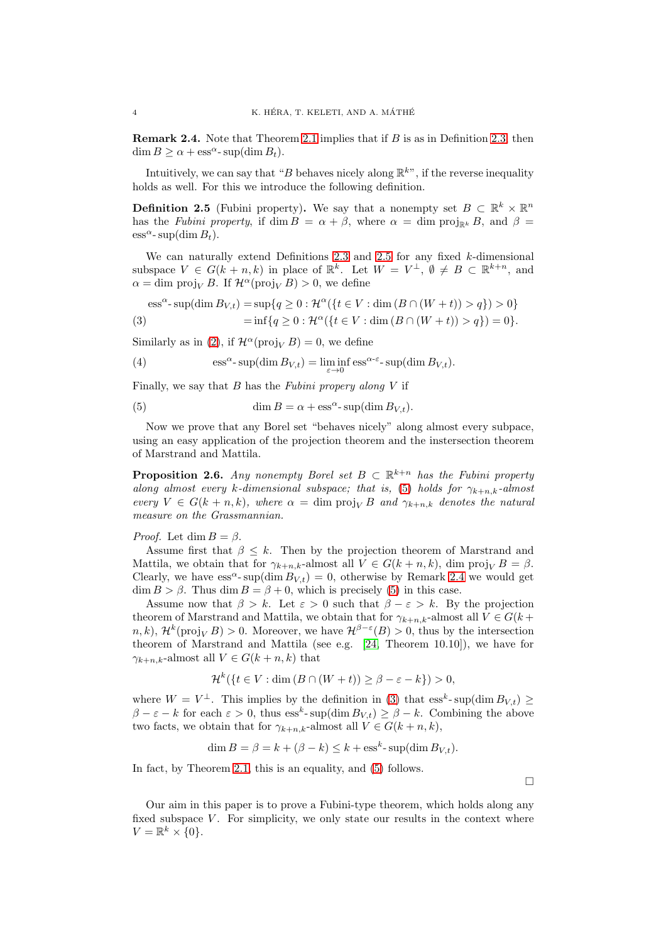<span id="page-3-3"></span>**Remark 2.4.** Note that Theorem [2.1](#page-2-1) implies that if  $B$  is as in Definition [2.3,](#page-2-2) then  $\dim B \ge \alpha + \text{ess}^{\alpha}$ - sup( $\dim B_t$ ).

Intuitively, we can say that "B behaves nicely along  $\mathbb{R}^{k}$ ", if the reverse inequality holds as well. For this we introduce the following definition.

<span id="page-3-1"></span>**Definition 2.5** (Fubini property). We say that a nonempty set  $B \subset \mathbb{R}^k \times \mathbb{R}^n$ has the Fubini property, if dim  $B = \alpha + \beta$ , where  $\alpha = \dim \text{proj}_{\mathbb{R}^k} B$ , and  $\beta =$  $\operatorname{ess}^{\alpha}$ - sup(dim  $B_t$ ).

We can naturally extend Definitions [2.3](#page-2-2) and [2.5](#page-3-1) for any fixed  $k$ -dimensional subspace  $V \in G(k+n,k)$  in place of  $\mathbb{R}^k$ . Let  $W = V^{\perp}$ ,  $\emptyset \neq B \subset \mathbb{R}^{k+n}$ , and  $\alpha = \dim \text{proj}_V B$ . If  $\mathcal{H}^{\alpha}(\text{proj}_V B) > 0$ , we define

 $\operatorname{ess}^{\alpha}$ - sup $(\dim B_{V,t}) = \sup\{q \ge 0 : \mathcal{H}^{\alpha}(\{t \in V : \dim(B \cap (W + t)) > q\}) > 0\}$ 

<span id="page-3-4"></span>(3) 
$$
= \inf \{ q \ge 0 : \mathcal{H}^{\alpha}(\{ t \in V : \dim (B \cap (W+t)) > q \}) = 0 \}.
$$

Similarly as in [\(2\)](#page-2-3), if  $\mathcal{H}^{\alpha}(\text{proj}_V B) = 0$ , we define

(4) 
$$
\qquad \qquad \mathrm{ess}^{\alpha}\text{-}\sup(\dim B_{V,t}) = \liminf_{\varepsilon \to 0} \mathrm{ess}^{\alpha-\varepsilon}\text{-}\sup(\dim B_{V,t}).
$$

Finally, we say that  $B$  has the *Fubini propery along*  $V$  if

<span id="page-3-2"></span>(5) 
$$
\dim B = \alpha + \text{ess}^{\alpha} \text{-} \sup(\dim B_{V,t}).
$$

Now we prove that any Borel set "behaves nicely" along almost every subpace, using an easy application of the projection theorem and the instersection theorem of Marstrand and Mattila.

<span id="page-3-0"></span>**Proposition 2.6.** Any nonempty Borel set  $B \subset \mathbb{R}^{k+n}$  has the Fubini property along almost every k-dimensional subspace; that is, [\(5\)](#page-3-2) holds for  $\gamma_{k+n,k}$ -almost every  $V \in G(k+n,k)$ , where  $\alpha = \dim \text{proj}_V B$  and  $\gamma_{k+n,k}$  denotes the natural measure on the Grassmannian.

## *Proof.* Let dim  $B = \beta$ .

Assume first that  $\beta \leq k$ . Then by the projection theorem of Marstrand and Mattila, we obtain that for  $\gamma_{k+n,k}$ -almost all  $V \in G(k+n,k)$ , dim proj<sub>V</sub>  $B = \beta$ . Clearly, we have  $ess^{\alpha}$ - sup(dim  $B_{V,t}$ ) = 0, otherwise by Remark [2.4](#page-3-3) we would get  $\dim B > \beta$ . Thus  $\dim B = \beta + 0$ , which is precisely [\(5\)](#page-3-2) in this case.

Assume now that  $\beta > k$ . Let  $\varepsilon > 0$  such that  $\beta - \varepsilon > k$ . By the projection theorem of Marstrand and Mattila, we obtain that for  $\gamma_{k+n,k}$ -almost all  $V \in G(k +$  $n, k$ ,  $\mathcal{H}^k(\text{proj}_V B) > 0$ . Moreover, we have  $\mathcal{H}^{\beta-\varepsilon}(B) > 0$ , thus by the intersection theorem of Marstrand and Mattila (see e.g. [\[24,](#page-25-3) Theorem 10.10]), we have for  $\gamma_{k+n,k}$ -almost all  $V \in G(k+n,k)$  that

$$
\mathcal{H}^{k}(\lbrace t \in V : \dim(B \cap (W+t)) \geq \beta - \varepsilon - k \rbrace) > 0,
$$

where  $W = V^{\perp}$ . This implies by the definition in [\(3\)](#page-3-4) that  $\operatorname{ess}^{k}$ -sup(dim  $B_{V,t}$ )  $\geq$  $\beta - \varepsilon - k$  for each  $\varepsilon > 0$ , thus  $\operatorname{ess}^k$ - sup(dim  $B_{V,t}$ )  $\geq \beta - k$ . Combining the above two facts, we obtain that for  $\gamma_{k+n,k}$ -almost all  $V \in G(k+n,k)$ ,

$$
\dim B = \beta = k + (\beta - k) \le k + \operatorname{ess}^{k} \operatorname{-} \operatorname{sup}(\dim B_{V,t}).
$$

In fact, by Theorem [2.1,](#page-2-1) this is an equality, and [\(5\)](#page-3-2) follows.

 $\Box$ 

Our aim in this paper is to prove a Fubini-type theorem, which holds along any fixed subspace  $V$ . For simplicity, we only state our results in the context where  $V = \mathbb{R}^k \times \{0\}.$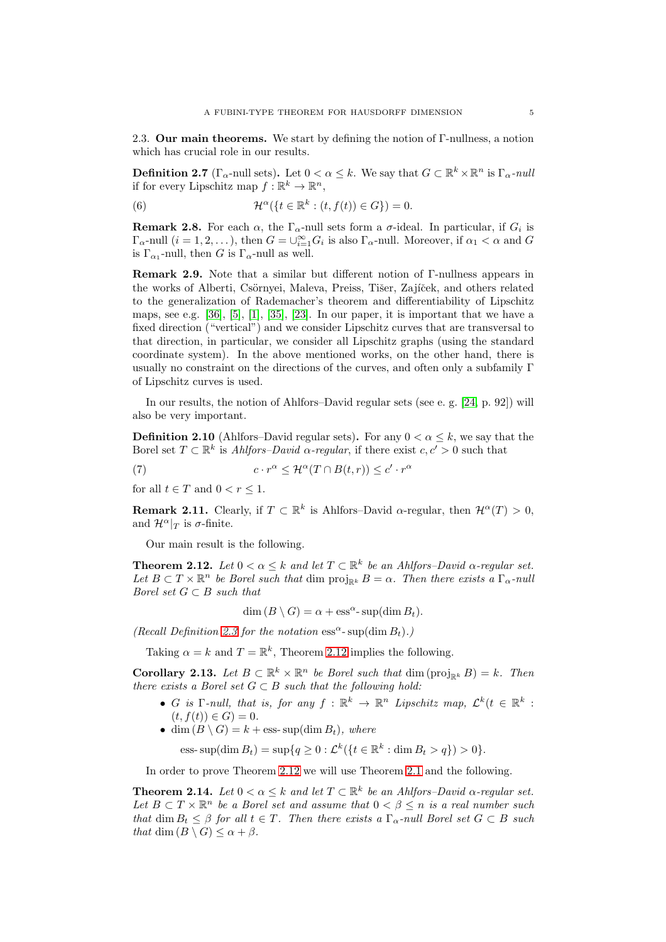<span id="page-4-0"></span>2.3. Our main theorems. We start by defining the notion of Γ-nullness, a notion which has crucial role in our results.

**Definition 2.7** ( $\Gamma_{\alpha}$ -null sets). Let  $0 < \alpha \leq k$ . We say that  $G \subset \mathbb{R}^k \times \mathbb{R}^n$  is  $\Gamma_{\alpha}$ -null if for every Lipschitz map  $f : \mathbb{R}^k \to \mathbb{R}^n$ ,

<span id="page-4-5"></span>(6) 
$$
\mathcal{H}^{\alpha}(\lbrace t \in \mathbb{R}^{k} : (t, f(t)) \in G \rbrace) = 0.
$$

<span id="page-4-4"></span>**Remark 2.8.** For each  $\alpha$ , the  $\Gamma_{\alpha}$ -null sets form a  $\sigma$ -ideal. In particular, if  $G_i$  is  $\Gamma_{\alpha}$ -null  $(i = 1, 2, \ldots)$ , then  $G = \bigcup_{i=1}^{\infty} G_i$  is also  $\Gamma_{\alpha}$ -null. Moreover, if  $\alpha_1 < \alpha$  and G is  $\Gamma_{\alpha_1}$ -null, then G is  $\Gamma_{\alpha}$ -null as well.

Remark 2.9. Note that a similar but different notion of Γ-nullness appears in the works of Alberti, Csörnyei, Maleva, Preiss, Tišer, Zajíček, and others related to the generalization of Rademacher's theorem and differentiability of Lipschitz maps, see e.g.  $[36]$ ,  $[5]$ ,  $[1]$ ,  $[35]$ ,  $[23]$ . In our paper, it is important that we have a fixed direction ("vertical") and we consider Lipschitz curves that are transversal to that direction, in particular, we consider all Lipschitz graphs (using the standard coordinate system). In the above mentioned works, on the other hand, there is usually no constraint on the directions of the curves, and often only a subfamily Γ of Lipschitz curves is used.

In our results, the notion of Ahlfors–David regular sets (see e. g. [\[24,](#page-25-3) p. 92]) will also be very important.

**Definition 2.10** (Ahlfors–David regular sets). For any  $0 < \alpha \leq k$ , we say that the Borel set  $T \subset \mathbb{R}^k$  is Ahlfors–David  $\alpha$ -regular, if there exist  $c, c' > 0$  such that

(7) 
$$
c \cdot r^{\alpha} \leq \mathcal{H}^{\alpha}(T \cap B(t,r)) \leq c' \cdot r^{\alpha}
$$

for all  $t \in T$  and  $0 < r \leq 1$ .

<span id="page-4-6"></span>**Remark 2.11.** Clearly, if  $T \subset \mathbb{R}^k$  is Ahlfors–David  $\alpha$ -regular, then  $\mathcal{H}^{\alpha}(T) > 0$ , and  $\mathcal{H}^{\alpha}|_{T}$  is  $\sigma$ -finite.

Our main result is the following.

<span id="page-4-1"></span>**Theorem 2.12.** Let  $0 < \alpha \leq k$  and let  $T \subset \mathbb{R}^k$  be an Ahlfors–David  $\alpha$ -regular set. Let  $B \subset T \times \mathbb{R}^n$  be Borel such that dim  $\text{proj}_{\mathbb{R}^k} B = \alpha$ . Then there exists a  $\Gamma_{\alpha}$ -null Borel set  $G \subset B$  such that

 $\dim (B \setminus G) = \alpha + \operatorname{ess}^{\alpha} \operatorname{-} \operatorname{sup}(\dim B_t).$ 

(Recall Definition [2.3](#page-2-2) for the notation  $\text{ess}^{\alpha}$ - sup(dim  $B_t$ ).)

Taking  $\alpha = k$  and  $T = \mathbb{R}^k$ , Theorem [2.12](#page-4-1) implies the following.

<span id="page-4-3"></span>**Corollary 2.13.** Let  $B \subset \mathbb{R}^k \times \mathbb{R}^n$  be Borel such that  $\dim (\text{proj}_{\mathbb{R}^k} B) = k$ . Then there exists a Borel set  $G \subset B$  such that the following hold:

- G is  $\Gamma$ -null, that is, for any  $f : \mathbb{R}^k \to \mathbb{R}^n$  Lipschitz map,  $\mathcal{L}^k(t \in \mathbb{R}^k)$  $(t, f(t)) \in G$  = 0.
- dim  $(B \setminus G) = k + \text{ess-sup}(\dim B_t)$ , where

ess- $\sup(\dim B_t) = \sup\{q \ge 0 : \mathcal{L}^k(\{t \in \mathbb{R}^k : \dim B_t > q\}) > 0\}.$ 

In order to prove Theorem [2.12](#page-4-1) we will use Theorem [2.1](#page-2-1) and the following.

<span id="page-4-2"></span>**Theorem 2.14.** Let  $0 < \alpha \leq k$  and let  $T \subset \mathbb{R}^k$  be an Ahlfors–David  $\alpha$ -regular set. Let  $B \subset T \times \mathbb{R}^n$  be a Borel set and assume that  $0 \lt \beta \leq n$  is a real number such that dim  $B_t \leq \beta$  for all  $t \in T$ . Then there exists a  $\Gamma_{\alpha}$ -null Borel set  $G \subset B$  such that dim  $(B \setminus G) \leq \alpha + \beta$ .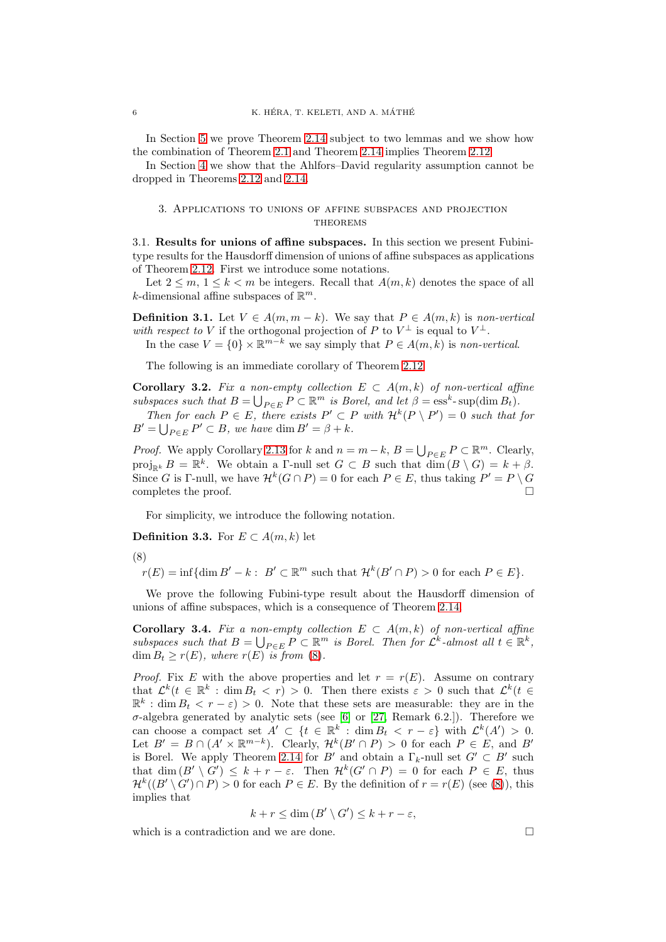In Section [5](#page-12-0) we prove Theorem [2.14](#page-4-2) subject to two lemmas and we show how the combination of Theorem [2.1](#page-2-1) and Theorem [2.14](#page-4-2) implies Theorem [2.12.](#page-4-1)

In Section [4](#page-9-0) we show that the Ahlfors–David regularity assumption cannot be dropped in Theorems [2.12](#page-4-1) and [2.14.](#page-4-2)

## <span id="page-5-0"></span>3. Applications to unions of affine subspaces and projection **THEOREMS**

<span id="page-5-1"></span>3.1. Results for unions of affine subspaces. In this section we present Fubinitype results for the Hausdorff dimension of unions of affine subspaces as applications of Theorem [2.12.](#page-4-1) First we introduce some notations.

Let  $2 \leq m, 1 \leq k \leq m$  be integers. Recall that  $A(m, k)$  denotes the space of all k-dimensional affine subspaces of  $\mathbb{R}^m$ .

**Definition 3.1.** Let  $V \in A(m, m - k)$ . We say that  $P \in A(m, k)$  is non-vertical with respect to V if the orthogonal projection of P to  $V^{\perp}$  is equal to  $V^{\perp}$ .

In the case  $V = \{0\} \times \mathbb{R}^{m-k}$  we say simply that  $P \in A(m, k)$  is non-vertical.

The following is an immediate corollary of Theorem [2.12.](#page-4-1)

Corollary 3.2. Fix a non-empty collection  $E \subset A(m,k)$  of non-vertical affine subspaces such that  $B = \bigcup_{P \in E} P \subset \mathbb{R}^m$  is Borel, and let  $\beta = \text{ess}^k$ -sup $(\dim B_t)$ .

Then for each  $P \in E$ , there exists  $P' \subset P$  with  $\mathcal{H}^k(P \setminus P') = 0$  such that for  $B' = \bigcup_{P \in E} P' \subset B$ , we have dim  $B' = \beta + k$ .

*Proof.* We apply Corollary [2.13](#page-4-3) for k and  $n = m - k$ ,  $B = \bigcup_{P \in E} P \subset \mathbb{R}^m$ . Clearly, proj<sub>Rk</sub>  $B = \mathbb{R}^k$ . We obtain a Γ-null set  $G \subset B$  such that  $\dim(B \setminus G) = k + \beta$ . Since G is Γ-null, we have  $\mathcal{H}^k(G \cap P) = 0$  for each  $P \in E$ , thus taking  $P' = P \setminus G$ completes the proof.

For simplicity, we introduce the following notation.

Definition 3.3. For  $E \subset A(m,k)$  let

<span id="page-5-2"></span>

 $r(E) = \inf \{ \dim B' - k : B' \subset \mathbb{R}^m \text{ such that } \mathcal{H}^k(B' \cap P) > 0 \text{ for each } P \in E \}.$ 

We prove the following Fubini-type result about the Hausdorff dimension of unions of affine subspaces, which is a consequence of Theorem [2.14.](#page-4-2)

<span id="page-5-3"></span>Corollary 3.4. Fix a non-empty collection  $E \subset A(m,k)$  of non-vertical affine subspaces such that  $B = \bigcup_{P \in E} P \subset \mathbb{R}^m$  is Borel. Then for  $\mathcal{L}^k$ -almost all  $t \in \mathbb{R}^k$ ,  $\dim B_t \geq r(E)$ , where  $r(E)$  is from [\(8\)](#page-5-2).

*Proof.* Fix E with the above properties and let  $r = r(E)$ . Assume on contrary that  $\mathcal{L}^k(t \in \mathbb{R}^k : \dim B_t < r) > 0$ . Then there exists  $\varepsilon > 0$  such that  $\mathcal{L}^k(t \in$  $\mathbb{R}^k$ : dim  $B_t < r - \varepsilon$ ) > 0. Note that these sets are measurable: they are in the  $\sigma$ -algebra generated by analytic sets (see [\[6\]](#page-25-7) or [\[27,](#page-25-8) Remark 6.2.]). Therefore we can choose a compact set  $A' \subset \{t \in \mathbb{R}^k : \dim B_t < r - \varepsilon\}$  with  $\mathcal{L}^k(A') > 0$ . Let  $B' = B \cap (A' \times \mathbb{R}^{m-k})$ . Clearly,  $\mathcal{H}^k(B' \cap P) > 0$  for each  $P \in E$ , and  $B'$ is Borel. We apply Theorem [2.14](#page-4-2) for B' and obtain a  $\Gamma_k$ -null set  $G' \subset B'$  such that  $\dim(B' \setminus G') \leq k + r - \varepsilon$ . Then  $\mathcal{H}^k(G' \cap P) = 0$  for each  $P \in E$ , thus  $\mathcal{H}^k((B' \setminus G') \cap P) > 0$  for each  $P \in E$ . By the definition of  $r = r(E)$  (see [\(8\)](#page-5-2)), this implies that

$$
k + r \le \dim(B' \setminus G') \le k + r - \varepsilon,
$$

which is a contradiction and we are done.  $\Box$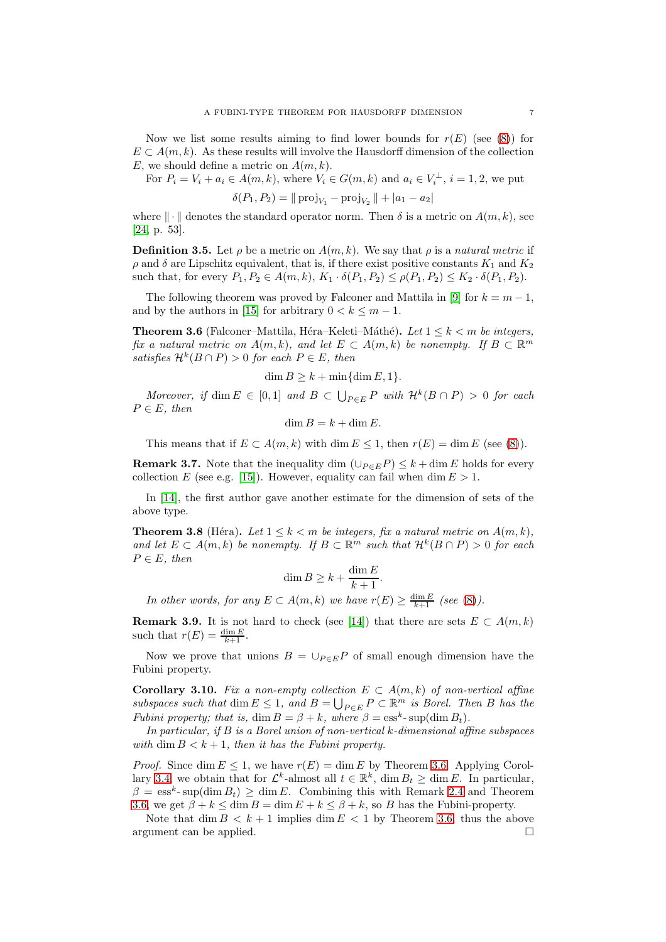Now we list some results aiming to find lower bounds for  $r(E)$  (see [\(8\)](#page-5-2)) for  $E \subset A(m, k)$ . As these results will involve the Hausdorff dimension of the collection E, we should define a metric on  $A(m, k)$ .

For  $P_i = V_i + a_i \in A(m, k)$ , where  $V_i \in G(m, k)$  and  $a_i \in V_i^{\perp}$ ,  $i = 1, 2$ , we put

$$
\delta(P_1, P_2) = ||\operatorname{proj}_{V_1} - \operatorname{proj}_{V_2} || + |a_1 - a_2|
$$

where  $\|\cdot\|$  denotes the standard operator norm. Then  $\delta$  is a metric on  $A(m, k)$ , see [\[24,](#page-25-3) p. 53].

**Definition 3.5.** Let  $\rho$  be a metric on  $A(m, k)$ . We say that  $\rho$  is a natural metric if  $ρ$  and δ are Lipschitz equivalent, that is, if there exist positive constants  $K_1$  and  $K_2$ such that, for every  $P_1, P_2 \in A(m, k), K_1 \cdot \delta(P_1, P_2) \leq \rho(P_1, P_2) \leq K_2 \cdot \delta(P_1, P_2)$ .

The following theorem was proved by Falconer and Mattila in [\[9\]](#page-25-9) for  $k = m - 1$ , and by the authors in [\[15\]](#page-25-10) for arbitrary  $0 < k \leq m - 1$ .

<span id="page-6-0"></span>**Theorem 3.6** (Falconer–Mattila, Héra–Keleti–Máthé). Let  $1 \leq k \leq m$  be integers, fix a natural metric on  $A(m, k)$ , and let  $E \subset A(m, k)$  be nonempty. If  $B \subset \mathbb{R}^m$ satisfies  $\mathcal{H}^k(B \cap P) > 0$  for each  $P \in E$ , then

$$
\dim B \ge k + \min\{\dim E, 1\}.
$$

Moreover, if dim  $E \in [0,1]$  and  $B \subset \bigcup_{P \in E} P$  with  $\mathcal{H}^k(B \cap P) > 0$  for each  $P \in E$ , then

$$
\dim B = k + \dim E.
$$

This means that if  $E \subset A(m,k)$  with dim  $E \leq 1$ , then  $r(E) = \dim E$  (see [\(8\)](#page-5-2)).

**Remark 3.7.** Note that the inequality dim  $(\bigcup_{P\in E} P) \leq k + \dim E$  holds for every collection E (see e.g. [\[15\]](#page-25-10)). However, equality can fail when dim  $E > 1$ .

In [\[14\]](#page-25-11), the first author gave another estimate for the dimension of sets of the above type.

<span id="page-6-1"></span>**Theorem 3.8** (Héra). Let  $1 \leq k < m$  be integers, fix a natural metric on  $A(m, k)$ , and let  $E \subset A(m,k)$  be nonempty. If  $B \subset \mathbb{R}^m$  such that  $\mathcal{H}^k(B \cap P) > 0$  for each  $P \in E$ , then

$$
\dim B \ge k + \frac{\dim E}{k+1}.
$$

In other words, for any  $E \subset A(m,k)$  we have  $r(E) \geq \frac{\dim E}{k+1}$  (see [\(8\)](#page-5-2)).

**Remark 3.9.** It is not hard to check (see [\[14\]](#page-25-11)) that there are sets  $E \subset A(m, k)$ such that  $r(E) = \frac{\dim E}{k+1}$ .

Now we prove that unions  $B = \bigcup_{P \in E} P$  of small enough dimension have the Fubini property.

Corollary 3.10. Fix a non-empty collection  $E \subset A(m,k)$  of non-vertical affine subspaces such that dim  $E \leq 1$ , and  $B = \bigcup_{P \in E} P \subset \mathbb{R}^m$  is Borel. Then B has the Fubini property; that is,  $\dim B = \beta + k$ , where  $\beta = \text{ess}^k \text{-} \sup(\dim B_t)$ .

In particular, if B is a Borel union of non-vertical k-dimensional affine subspaces with dim  $B < k + 1$ , then it has the Fubini property.

*Proof.* Since dim  $E \leq 1$ , we have  $r(E) = \dim E$  by Theorem [3.6.](#page-6-0) Applying Corol-lary [3.4,](#page-5-3) we obtain that for  $\mathcal{L}^k$ -almost all  $t \in \mathbb{R}^k$ , dim  $B_t \geq \dim E$ . In particular,  $\beta = \text{ess}^k$ - sup(dim  $B_t$ )  $\geq$  dim E. Combining this with Remark [2.4](#page-3-3) and Theorem [3.6,](#page-6-0) we get  $\beta + k \le \dim B = \dim E + k \le \beta + k$ , so B has the Fubini-property.

Note that  $\dim B < k+1$  implies  $\dim E < 1$  by Theorem [3.6,](#page-6-0) thus the above argument can be applied.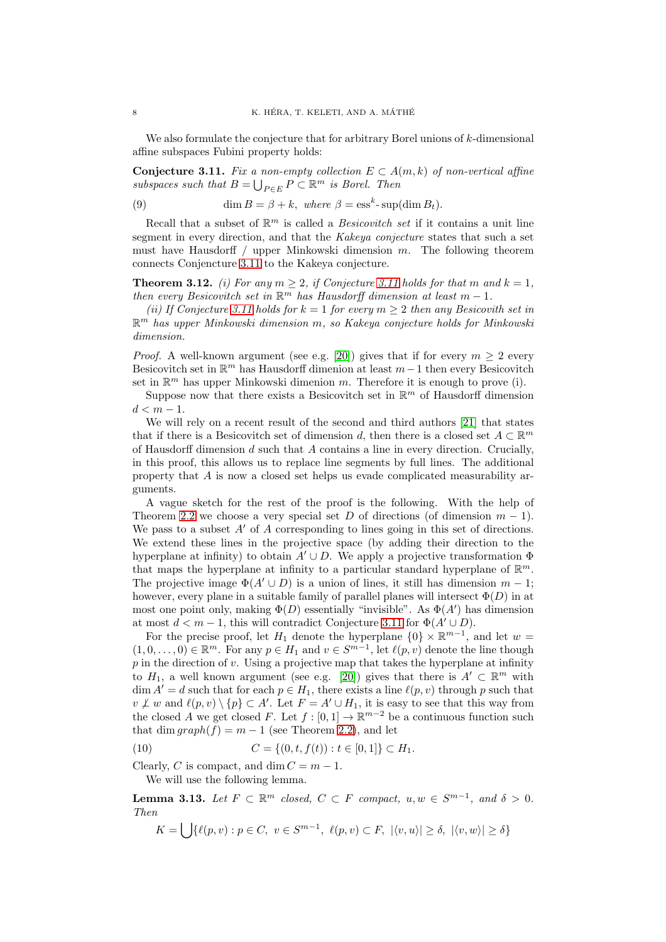We also formulate the conjecture that for arbitrary Borel unions of  $k$ -dimensional affine subspaces Fubini property holds:

<span id="page-7-0"></span>Conjecture 3.11. Fix a non-empty collection  $E \subset A(m,k)$  of non-vertical affine subspaces such that  $B = \bigcup_{P \in E} P \subset \mathbb{R}^m$  is Borel. Then

(9) 
$$
\dim B = \beta + k, \text{ where } \beta = \text{ess}^k \text{-} \sup(\dim B_t).
$$

Recall that a subset of  $\mathbb{R}^m$  is called a *Besicovitch set* if it contains a unit line segment in every direction, and that the Kakeya conjecture states that such a set must have Hausdorff  $/$  upper Minkowski dimension  $m$ . The following theorem connects Conjencture [3.11](#page-7-0) to the Kakeya conjecture.

<span id="page-7-3"></span>**Theorem 3.12.** (i) For any  $m \geq 2$ , if Conjecture [3.11](#page-7-0) holds for that m and  $k = 1$ , then every Besicovitch set in  $\mathbb{R}^m$  has Hausdorff dimension at least  $m-1$ .

(ii) If Conjecture [3.11](#page-7-0) holds for  $k = 1$  for every  $m \geq 2$  then any Besicovith set in  $\mathbb{R}^m$  has upper Minkowski dimension m, so Kakeya conjecture holds for Minkowski dimension.

*Proof.* A well-known argument (see e.g. [\[20\]](#page-25-12)) gives that if for every  $m > 2$  every Besicovitch set in  $\mathbb{R}^m$  has Hausdorff dimenion at least  $m-1$  then every Besicovitch set in  $\mathbb{R}^m$  has upper Minkowski dimenion m. Therefore it is enough to prove (i).

Suppose now that there exists a Besicovitch set in  $\mathbb{R}^m$  of Hausdorff dimension  $d < m - 1$ .

We will rely on a recent result of the second and third authors [\[21\]](#page-25-13) that states that if there is a Besicovitch set of dimension d, then there is a closed set  $A \subset \mathbb{R}^m$ of Hausdorff dimension  $d$  such that  $A$  contains a line in every direction. Crucially, in this proof, this allows us to replace line segments by full lines. The additional property that A is now a closed set helps us evade complicated measurability arguments.

A vague sketch for the rest of the proof is the following. With the help of Theorem [2.2](#page-2-4) we choose a very special set D of directions (of dimension  $m - 1$ ). We pass to a subset  $A'$  of A corresponding to lines going in this set of directions. We extend these lines in the projective space (by adding their direction to the hyperplane at infinity) to obtain  $A' \cup D$ . We apply a projective transformation  $\Phi$ that maps the hyperplane at infinity to a particular standard hyperplane of  $\mathbb{R}^m$ . The projective image  $\Phi(A' \cup D)$  is a union of lines, it still has dimension  $m-1$ ; however, every plane in a suitable family of parallel planes will intersect  $\Phi(D)$  in at most one point only, making  $\Phi(D)$  essentially "invisible". As  $\Phi(A')$  has dimension at most  $d < m - 1$ , this will contradict Conjecture [3.11](#page-7-0) for  $\Phi(A' \cup D)$ .

For the precise proof, let  $H_1$  denote the hyperplane  $\{0\} \times \mathbb{R}^{m-1}$ , and let  $w =$  $(1,0,\ldots,0) \in \mathbb{R}^m$ . For any  $p \in H_1$  and  $v \in S^{m-1}$ , let  $\ell(p, v)$  denote the line though  $p$  in the direction of  $v$ . Using a projective map that takes the hyperplane at infinity to  $H_1$ , a well known argument (see e.g. [\[20\]](#page-25-12)) gives that there is  $A' \subset \mathbb{R}^m$  with  $\dim A' = d$  such that for each  $p \in H_1$ , there exists a line  $\ell(p, v)$  through p such that  $v \not\perp w$  and  $\ell(p, v) \setminus \{p\} \subset A'$ . Let  $F = A' \cup H_1$ , it is easy to see that this way from the closed A we get closed F. Let  $f : [0,1] \to \mathbb{R}^{m-2}$  be a continuous function such that dim  $graph(f) = m - 1$  (see Theorem [2.2\)](#page-2-4), and let

<span id="page-7-1"></span>(10) 
$$
C = \{(0, t, f(t)) : t \in [0, 1]\} \subset H_1.
$$

Clearly, C is compact, and dim  $C = m - 1$ . We will use the following lemma.

<span id="page-7-2"></span>**Lemma 3.13.** Let  $F \subset \mathbb{R}^m$  closed,  $C \subset F$  compact,  $u, w \in S^{m-1}$ , and  $\delta > 0$ . Then

 $K = \bigcup \{ \ell(p, v) : p \in C, v \in S^{m-1}, \ell(p, v) \subset F, |\langle v, u \rangle| \ge \delta, |\langle v, w \rangle| \ge \delta \}$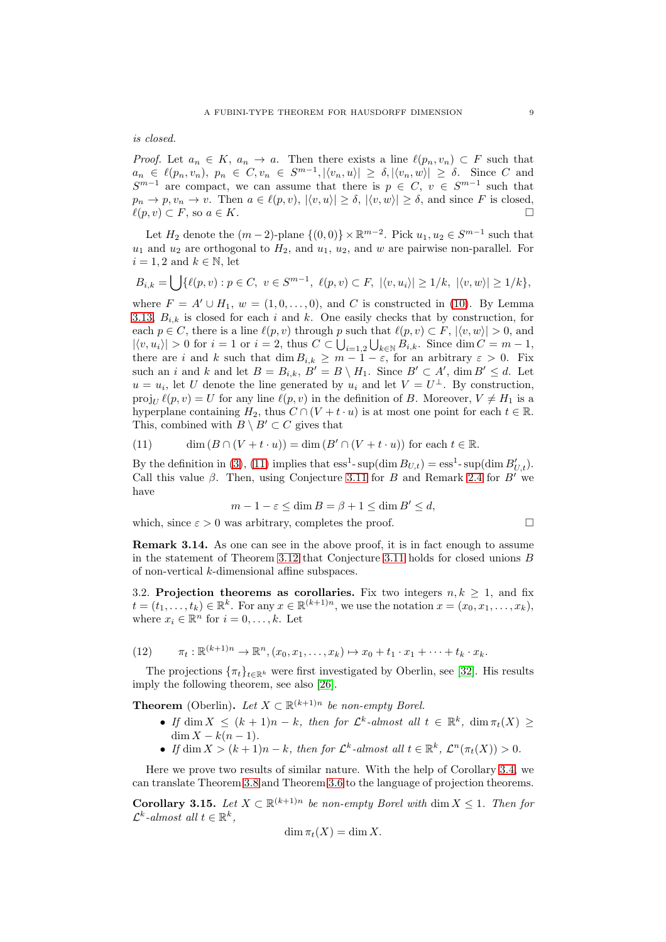is closed.

*Proof.* Let  $a_n \in K$ ,  $a_n \to a$ . Then there exists a line  $\ell(p_n, v_n) \subset F$  such that  $a_n \in \ell(p_n, v_n), p_n \in C, v_n \in S^{m-1}, |\langle v_n, u \rangle| \geq \delta, |\langle v_n, w \rangle| \geq \delta.$  Since C and  $S^{m-1}$  are compact, we can assume that there is  $p \in C, v \in S^{m-1}$  such that  $p_n \to p, v_n \to v$ . Then  $a \in \ell(p, v), |\langle v, u \rangle| \geq \delta, |\langle v, w \rangle| \geq \delta$ , and since F is closed,  $\ell(p, v) \subset F$ , so  $a \in K$ .

Let  $H_2$  denote the  $(m-2)$ -plane  $\{(0,0)\}\times\mathbb{R}^{m-2}$ . Pick  $u_1, u_2 \in S^{m-1}$  such that  $u_1$  and  $u_2$  are orthogonal to  $H_2$ , and  $u_1$ ,  $u_2$ , and w are pairwise non-parallel. For  $i = 1, 2$  and  $k \in \mathbb{N}$ , let

$$
B_{i,k} = \bigcup \{ \ell(p,v) : p \in C, \ v \in S^{m-1}, \ \ell(p,v) \subset F, \ |\langle v,u_i \rangle| \ge 1/k, \ |\langle v,w \rangle| \ge 1/k \},\
$$

where  $F = A' \cup H_1$ ,  $w = (1, 0, \ldots, 0)$ , and C is constructed in [\(10\)](#page-7-1). By Lemma [3.13,](#page-7-2)  $B_{i,k}$  is closed for each i and k. One easily checks that by construction, for each  $p \in C$ , there is a line  $\ell(p, v)$  through p such that  $\ell(p, v) \subset F$ ,  $|\langle v, w \rangle| > 0$ , and  $|\langle v, u_i \rangle| > 0$  for  $i = 1$  or  $i = 2$ , thus  $C \subset \bigcup_{i=1,2} \bigcup_{k \in \mathbb{N}} B_{i,k}$ . Since  $\dim C = m - 1$ , there are i and k such that  $\dim B_{i,k} \geq m-1-\varepsilon$ , for an arbitrary  $\varepsilon > 0$ . Fix such an i and k and let  $B = B_{i,k}$ ,  $B' = B \setminus H_1$ . Since  $B' \subset A'$ , dim  $B' \leq d$ . Let  $u = u_i$ , let U denote the line generated by  $u_i$  and let  $V = U^{\perp}$ . By construction, proj<sub>U</sub>  $\ell(p, v) = U$  for any line  $\ell(p, v)$  in the definition of B. Moreover,  $V \neq H_1$  is a hyperplane containing  $H_2$ , thus  $C \cap (V + t \cdot u)$  is at most one point for each  $t \in \mathbb{R}$ . This, combined with  $B \setminus B' \subset C$  gives that

<span id="page-8-2"></span>(11) 
$$
\dim(B \cap (V + t \cdot u)) = \dim(B' \cap (V + t \cdot u)) \text{ for each } t \in \mathbb{R}.
$$

By the definition in [\(3\)](#page-3-4), [\(11\)](#page-8-2) implies that  $\text{ess}^1$ - sup(dim  $B_{U,t}$ ) =  $\text{ess}^1$ - sup(dim  $B'_{U,t}$ ). Call this value  $\beta$ . Then, using Conjecture [3.11](#page-7-0) for B and Remark [2.4](#page-3-3) for B' we have

$$
m - 1 - \varepsilon \le \dim B = \beta + 1 \le \dim B' \le d,
$$

which, since  $\varepsilon > 0$  was arbitrary, completes the proof.

Remark 3.14. As one can see in the above proof, it is in fact enough to assume in the statement of Theorem [3.12](#page-7-3) that Conjecture [3.11](#page-7-0) holds for closed unions B of non-vertical k-dimensional affine subspaces.

<span id="page-8-0"></span>3.2. Projection theorems as corollaries. Fix two integers  $n, k \geq 1$ , and fix  $t = (t_1, \ldots, t_k) \in \mathbb{R}^k$ . For any  $x \in \mathbb{R}^{(k+1)n}$ , we use the notation  $x = (x_0, x_1, \ldots, x_k)$ , where  $x_i \in \mathbb{R}^n$  for  $i = 0, \ldots, k$ . Let

(12) 
$$
\pi_t: \mathbb{R}^{(k+1)n} \to \mathbb{R}^n, (x_0, x_1, \dots, x_k) \mapsto x_0 + t_1 \cdot x_1 + \dots + t_k \cdot x_k.
$$

The projections  $\{\pi_t\}_{t\in\mathbb{R}^k}$  were first investigated by Oberlin, see [\[32\]](#page-25-14). His results imply the following theorem, see also [\[26\]](#page-25-15).

**Theorem** (Oberlin). Let  $X \subset \mathbb{R}^{(k+1)n}$  be non-empty Borel.

- If  $\dim X \leq (k+1)n k$ , then for  $\mathcal{L}^k$ -almost all  $t \in \mathbb{R}^k$ ,  $\dim \pi_t(X) \geq$  $\dim X - k(n-1).$
- If  $\dim X > (k+1)n k$ , then for  $\mathcal{L}^k$ -almost all  $t \in \mathbb{R}^k$ ,  $\mathcal{L}^n(\pi_t(X)) > 0$ .

Here we prove two results of similar nature. With the help of Corollary [3.4,](#page-5-3) we can translate Theorem [3.8](#page-6-1) and Theorem [3.6](#page-6-0) to the language of projection theorems.

<span id="page-8-1"></span>**Corollary 3.15.** Let  $X \subset \mathbb{R}^{(k+1)n}$  be non-empty Borel with dim  $X \leq 1$ . Then for  $\mathcal{L}^k$ -almost all  $t \in \mathbb{R}^k$ ,

$$
\dim \pi_t(X) = \dim X.
$$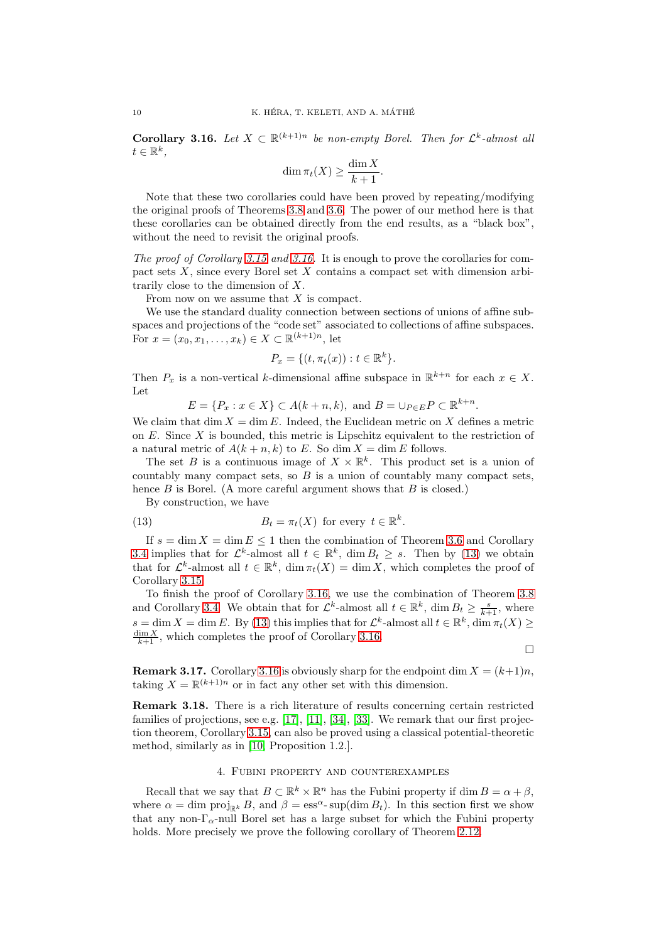<span id="page-9-1"></span>**Corollary 3.16.** Let  $X \subset \mathbb{R}^{(k+1)n}$  be non-empty Borel. Then for  $\mathcal{L}^k$ -almost all  $t \in \mathbb{R}^k$ ,

$$
\dim \pi_t(X) \ge \frac{\dim X}{k+1}.
$$

Note that these two corollaries could have been proved by repeating/modifying the original proofs of Theorems [3.8](#page-6-1) and [3.6.](#page-6-0) The power of our method here is that these corollaries can be obtained directly from the end results, as a "black box", without the need to revisit the original proofs.

The proof of Corollary [3.15](#page-8-1) and [3.16.](#page-9-1) It is enough to prove the corollaries for compact sets X, since every Borel set X contains a compact set with dimension arbitrarily close to the dimension of X.

From now on we assume that  $X$  is compact.

We use the standard duality connection between sections of unions of affine subspaces and projections of the "code set" associated to collections of affine subspaces. For  $x = (x_0, x_1, \dots, x_k) \in X \subset \mathbb{R}^{(k+1)n}$ , let

$$
P_x = \{(t, \pi_t(x)) : t \in \mathbb{R}^k\}.
$$

Then  $P_x$  is a non-vertical k-dimensional affine subspace in  $\mathbb{R}^{k+n}$  for each  $x \in X$ . Let

 $E = \{P_x : x \in X\} \subset A(k+n,k)$ , and  $B = \bigcup_{P \in E} P \subset \mathbb{R}^{k+n}$ .

We claim that dim  $X = \dim E$ . Indeed, the Euclidean metric on X defines a metric on  $E$ . Since  $X$  is bounded, this metric is Lipschitz equivalent to the restriction of a natural metric of  $A(k+n, k)$  to E. So dim  $X = \dim E$  follows.

The set B is a continuous image of  $X \times \mathbb{R}^k$ . This product set is a union of countably many compact sets, so  $B$  is a union of countably many compact sets, hence  $B$  is Borel. (A more careful argument shows that  $B$  is closed.)

<span id="page-9-2"></span>By construction, we have

(13) 
$$
B_t = \pi_t(X) \text{ for every } t \in \mathbb{R}^k.
$$

If  $s = \dim X = \dim E \leq 1$  then the combination of Theorem [3.6](#page-6-0) and Corollary [3.4](#page-5-3) implies that for  $\mathcal{L}^k$ -almost all  $t \in \mathbb{R}^k$ , dim  $B_t \geq s$ . Then by [\(13\)](#page-9-2) we obtain that for  $\mathcal{L}^k$ -almost all  $t \in \mathbb{R}^k$ ,  $\dim \pi_t(X) = \dim X$ , which completes the proof of Corollary [3.15.](#page-8-1)

To finish the proof of Corollary [3.16,](#page-9-1) we use the combination of Theorem [3.8](#page-6-1) and Corollary [3.4.](#page-5-3) We obtain that for  $\mathcal{L}^k$ -almost all  $t \in \mathbb{R}^k$ , dim  $B_t \geq \frac{s}{k+1}$ , where  $s = \dim X = \dim E$ . By [\(13\)](#page-9-2) this implies that for  $\mathcal{L}^k$ -almost all  $t \in \mathbb{R}^k$ ,  $\dim \pi_t(X) \geq$  $\frac{\dim X}{k+1}$ , which completes the proof of Corollary [3.16.](#page-9-1)

 $\Box$ 

**Remark 3.17.** Corollary [3.16](#page-9-1) is obviously sharp for the endpoint dim  $X = (k+1)n$ , taking  $X = \mathbb{R}^{(k+1)n}$  or in fact any other set with this dimension.

Remark 3.18. There is a rich literature of results concerning certain restricted families of projections, see e.g.  $[17]$ ,  $[11]$ ,  $[34]$ ,  $[33]$ . We remark that our first projection theorem, Corollary [3.15,](#page-8-1) can also be proved using a classical potential-theoretic method, similarly as in [\[10,](#page-25-20) Proposition 1.2.].

## 4. Fubini property and counterexamples

<span id="page-9-0"></span>Recall that we say that  $B \subset \mathbb{R}^k \times \mathbb{R}^n$  has the Fubini property if  $\dim B = \alpha + \beta$ , where  $\alpha = \dim \text{proj}_{\mathbb{R}^k} B$ , and  $\beta = \text{ess}^{\alpha}$ -sup(dim  $B_t$ ). In this section first we show that any non- $\Gamma_{\alpha}$ -null Borel set has a large subset for which the Fubini property holds. More precisely we prove the following corollary of Theorem [2.12.](#page-4-1)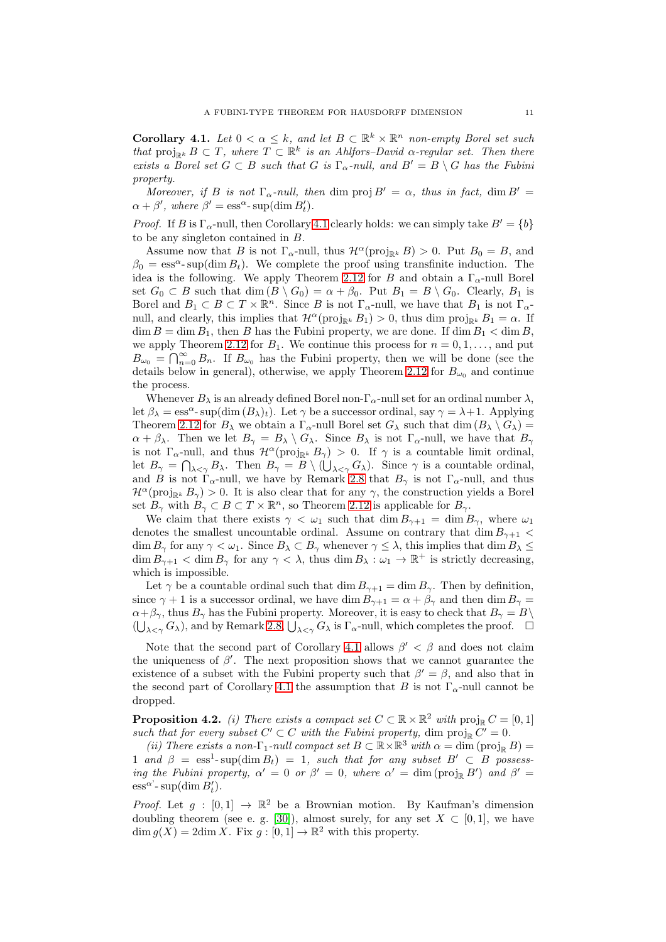<span id="page-10-0"></span>**Corollary 4.1.** Let  $0 < \alpha \leq k$ , and let  $B \subset \mathbb{R}^k \times \mathbb{R}^n$  non-empty Borel set such that  $proj_{\mathbb{R}^k} B \subset T$ , where  $T \subset \mathbb{R}^k$  is an Ahlfors–David  $\alpha$ -regular set. Then there exists a Borel set  $G \subset B$  such that G is  $\Gamma_{\alpha}$ -null, and  $B' = B \setminus G$  has the Fubini property.

Moreover, if B is not  $\Gamma_{\alpha}$ -null, then dim proj  $B' = \alpha$ , thus in fact, dim  $B' =$  $\alpha + \beta'$ , where  $\beta' = \text{ess}^{\alpha}$ - sup(dim  $B_t'$ ).

*Proof.* If B is  $\Gamma_{\alpha}$ -null, then Corollary [4.1](#page-10-0) clearly holds: we can simply take  $B' = \{b\}$ to be any singleton contained in B.

Assume now that B is not  $\Gamma_{\alpha}$ -null, thus  $\mathcal{H}^{\alpha}(\text{proj}_{\mathbb{R}^k} B) > 0$ . Put  $B_0 = B$ , and  $\beta_0 = \text{ess}^{\alpha}$ - sup(dim  $B_t$ ). We complete the proof using transfinite induction. The idea is the following. We apply Theorem [2.12](#page-4-1) for B and obtain a  $\Gamma_{\alpha}$ -null Borel set  $G_0 \subset B$  such that  $\dim(B \setminus G_0) = \alpha + \beta_0$ . Put  $B_1 = B \setminus G_0$ . Clearly,  $B_1$  is Borel and  $B_1 \subset B \subset T \times \mathbb{R}^n$ . Since B is not  $\Gamma_{\alpha}$ -null, we have that  $B_1$  is not  $\Gamma_{\alpha}$ null, and clearly, this implies that  $\mathcal{H}^{\alpha}(\text{proj}_{\mathbb{R}^k} B_1) > 0$ , thus dim proj<sub>Rk</sub>  $B_1 = \alpha$ . If  $\dim B = \dim B_1$ , then B has the Fubini property, we are done. If  $\dim B_1 < \dim B$ , we apply Theorem [2.12](#page-4-1) for  $B_1$ . We continue this process for  $n = 0, 1, \ldots$ , and put  $B_{\omega_0} = \bigcap_{n=0}^{\infty} B_n$ . If  $B_{\omega_0}$  has the Fubini property, then we will be done (see the details below in general), otherwise, we apply Theorem [2.12](#page-4-1) for  $B_{\omega_0}$  and continue the process.

Whenever  $B_\lambda$  is an already defined Borel non- $\Gamma_\alpha$ -null set for an ordinal number  $\lambda$ , let  $\beta_{\lambda} = \text{ess}^{\alpha}$ - sup(dim  $(B_{\lambda})_t$ ). Let  $\gamma$  be a successor ordinal, say  $\gamma = \lambda + 1$ . Applying Theorem [2.12](#page-4-1) for  $B_\lambda$  we obtain a  $\Gamma_\alpha$ -null Borel set  $G_\lambda$  such that dim  $(B_\lambda \setminus G_\lambda)$  =  $\alpha + \beta_{\lambda}$ . Then we let  $B_{\gamma} = B_{\lambda} \setminus G_{\lambda}$ . Since  $B_{\lambda}$  is not  $\Gamma_{\alpha}$ -null, we have that  $B_{\gamma}$ is not  $\Gamma_{\alpha}$ -null, and thus  $\mathcal{H}^{\alpha}(\text{proj}_{\mathbb{R}^k} B_{\gamma}) > 0$ . If  $\gamma$  is a countable limit ordinal, let  $B_{\gamma} = \bigcap_{\lambda \leq \gamma} B_{\lambda}$ . Then  $B_{\gamma} = B \setminus (\bigcup_{\lambda \leq \gamma} G_{\lambda})$ . Since  $\gamma$  is a countable ordinal, and B is not  $\Gamma_{\alpha}$ -null, we have by Remark [2.8](#page-4-4) that  $B_{\gamma}$  is not  $\Gamma_{\alpha}$ -null, and thus  $\mathcal{H}^{\alpha}(\text{proj}_{\mathbb{R}^k} B_{\gamma}) > 0$ . It is also clear that for any  $\gamma$ , the construction yields a Borel set  $B_{\gamma}$  with  $B_{\gamma} \subset B \subset T \times \mathbb{R}^n$ , so Theorem [2.12](#page-4-1) is applicable for  $B_{\gamma}$ .

We claim that there exists  $\gamma < \omega_1$  such that  $\dim B_{\gamma+1} = \dim B_{\gamma}$ , where  $\omega_1$ denotes the smallest uncountable ordinal. Assume on contrary that dim  $B_{\gamma+1}$  <  $\dim B_{\gamma}$  for any  $\gamma < \omega_1$ . Since  $B_{\lambda} \subset B_{\gamma}$  whenever  $\gamma \leq \lambda$ , this implies that  $\dim B_{\lambda} \leq \lambda$  $\dim B_{\gamma+1} < \dim B_{\gamma}$  for any  $\gamma < \lambda$ , thus  $\dim B_{\lambda}: \omega_1 \to \mathbb{R}^+$  is strictly decreasing, which is impossible.

Let  $\gamma$  be a countable ordinal such that dim  $B_{\gamma+1} = \dim B_{\gamma}$ . Then by definition, since  $\gamma + 1$  is a successor ordinal, we have dim  $B_{\gamma+1} = \alpha + \beta_{\gamma}$  and then dim  $B_{\gamma} =$  $\alpha+\beta_{\gamma}$ , thus  $B_{\gamma}$  has the Fubini property. Moreover, it is easy to check that  $B_{\gamma}=B\setminus\mathcal{B}$  $(\bigcup_{\lambda \leq \gamma} G_{\lambda})$ , and by Remark [2.8,](#page-4-4)  $\bigcup_{\lambda \leq \gamma} G_{\lambda}$  is  $\Gamma_{\alpha}$ -null, which completes the proof.  $\Box$ 

Note that the second part of Corollary [4.1](#page-10-0) allows  $\beta' < \beta$  and does not claim the uniqueness of  $\beta'$ . The next proposition shows that we cannot guarantee the existence of a subset with the Fubini property such that  $\beta' = \beta$ , and also that in the second part of Corollary [4.1](#page-10-0) the assumption that B is not  $\Gamma_{\alpha}$ -null cannot be dropped.

<span id="page-10-1"></span>**Proposition 4.2.** (i) There exists a compact set  $C \subset \mathbb{R} \times \mathbb{R}^2$  with  $\text{proj}_{\mathbb{R}} C = [0, 1]$ such that for every subset  $C' \subset C$  with the Fubini property, dim  $\text{proj}_{\mathbb{R}} C' = 0$ .

(ii) There exists a non- $\Gamma_1$ -null compact set  $B \subset \mathbb{R} \times \mathbb{R}^3$  with  $\alpha = \dim (\text{proj}_\mathbb{R} B) =$ 1 and  $\beta = \text{ess}^1\text{-}\text{sup}(\text{dim }B_t) = 1$ , such that for any subset  $B' \subset B$  possessing the Fubini property,  $\alpha' = 0$  or  $\beta' = 0$ , where  $\alpha' = \dim (\text{proj}_{\mathbb{R}} B')$  and  $\beta' =$  $\operatorname{ess}^{\alpha^{\prime}}$ - sup(dim  $B_t^{\prime}$ ).

*Proof.* Let  $g : [0,1] \rightarrow \mathbb{R}^2$  be a Brownian motion. By Kaufman's dimension doubling theorem (see e. g. [\[30\]](#page-25-21)), almost surely, for any set  $X \subset [0,1]$ , we have  $\dim g(X) = 2 \dim X$ . Fix  $g : [0,1] \to \mathbb{R}^2$  with this property.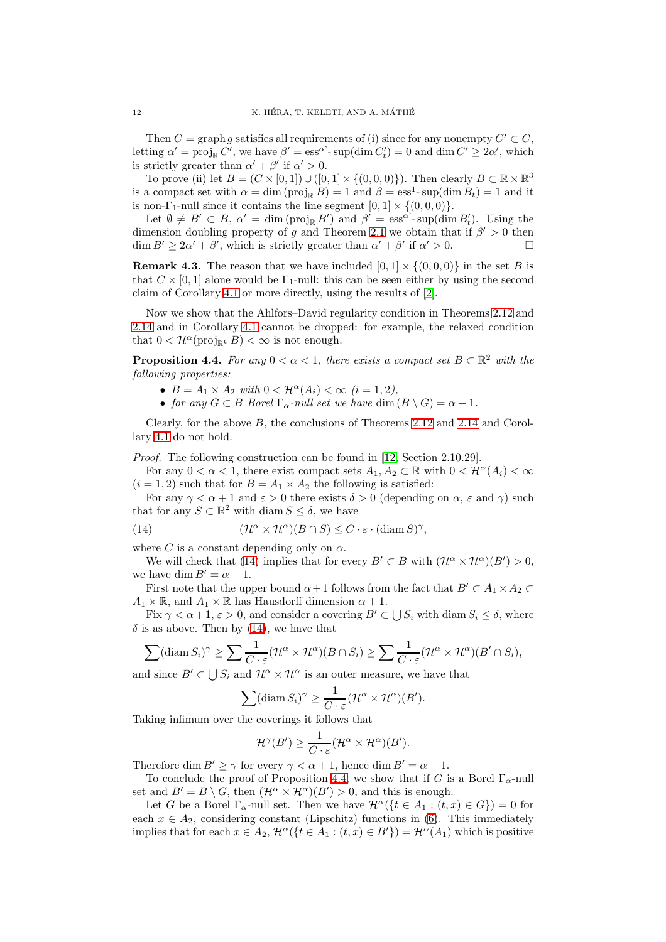Then  $C = \text{graph } g$  satisfies all requirements of (i) since for any nonempty  $C' \subset C$ , letting  $\alpha' = \text{proj}_{\mathbb{R}} C'$ , we have  $\beta' = \text{ess}^{\alpha'} \text{-} \text{sup}(\text{dim } C'_t) = 0$  and  $\text{dim } C' \geq 2\alpha'$ , which is strictly greater than  $\alpha' + \beta'$  if  $\alpha' > 0$ .

To prove (ii) let  $B = (C \times [0,1]) \cup ([0,1] \times \{(0,0,0)\})$ . Then clearly  $B \subset \mathbb{R} \times \mathbb{R}^3$ is a compact set with  $\alpha = \dim (\text{proj}_{\mathbb{R}} B) = 1$  and  $\beta = \text{ess}^1\text{-}\sup(\dim B_t) = 1$  and it is non- $\Gamma_1$ -null since it contains the line segment  $[0, 1] \times \{(0, 0, 0)\}.$ 

Let  $\emptyset \neq B' \subset B$ ,  $\alpha' = \dim (\text{proj}_{\mathbb{R}} B')$  and  $\beta' = \text{ess}^{\alpha'} \text{-} \text{sup}(\dim B'_t)$ . Using the dimension doubling property of g and Theorem [2.1](#page-2-1) we obtain that if  $\beta' > 0$  then  $\dim B' \geq 2\alpha' + \beta'$ , which is strictly greater than  $\alpha' + \beta'$  if  $\alpha' > 0$ .

**Remark 4.3.** The reason that we have included  $[0, 1] \times \{(0, 0, 0)\}\$  in the set B is that  $C \times [0, 1]$  alone would be  $\Gamma_1$ -null: this can be seen either by using the second claim of Corollary [4.1](#page-10-0) or more directly, using the results of [\[2\]](#page-24-3).

Now we show that the Ahlfors–David regularity condition in Theorems [2.12](#page-4-1) and [2.14](#page-4-2) and in Corollary [4.1](#page-10-0) cannot be dropped: for example, the relaxed condition that  $0 < \mathcal{H}^{\alpha}(\text{proj}_{\mathbb{R}^k} B) < \infty$  is not enough.

<span id="page-11-1"></span>**Proposition 4.4.** For any  $0 < \alpha < 1$ , there exists a compact set  $B \subset \mathbb{R}^2$  with the following properties:

- $B = A_1 \times A_2$  with  $0 < \mathcal{H}^{\alpha}(A_i) < \infty \ (i = 1, 2),$
- for any  $G \subset B$  Borel  $\Gamma_{\alpha}$ -null set we have dim  $(B \setminus G) = \alpha + 1$ .

Clearly, for the above B, the conclusions of Theorems [2.12](#page-4-1) and [2.14](#page-4-2) and Corollary [4.1](#page-10-0) do not hold.

Proof. The following construction can be found in [\[12,](#page-25-22) Section 2.10.29].

For any  $0 < \alpha < 1$ , there exist compact sets  $A_1, A_2 \subset \mathbb{R}$  with  $0 < \mathcal{H}^{\alpha}(A_i) < \infty$  $(i = 1, 2)$  such that for  $B = A_1 \times A_2$  the following is satisfied:

For any  $\gamma < \alpha + 1$  and  $\varepsilon > 0$  there exists  $\delta > 0$  (depending on  $\alpha$ ,  $\varepsilon$  and  $\gamma$ ) such that for any  $S \subset \mathbb{R}^2$  with diam  $S \leq \delta$ , we have

<span id="page-11-0"></span>(14) 
$$
(\mathcal{H}^{\alpha} \times \mathcal{H}^{\alpha})(B \cap S) \leq C \cdot \varepsilon \cdot (\text{diam } S)^{\gamma},
$$

where C is a constant depending only on  $\alpha$ .

We will check that [\(14\)](#page-11-0) implies that for every  $B' \subset B$  with  $(\mathcal{H}^{\alpha} \times \mathcal{H}^{\alpha})(B') > 0$ , we have dim  $B' = \alpha + 1$ .

First note that the upper bound  $\alpha+1$  follows from the fact that  $B' \subset A_1 \times A_2 \subset$  $A_1 \times \mathbb{R}$ , and  $A_1 \times \mathbb{R}$  has Hausdorff dimension  $\alpha + 1$ .

Fix  $\gamma < \alpha + 1$ ,  $\varepsilon > 0$ , and consider a covering  $B' \subset \bigcup S_i$  with diam  $S_i \leq \delta$ , where  $\delta$  is as above. Then by [\(14\)](#page-11-0), we have that

$$
\sum (\text{diam } S_i)^{\gamma} \geq \sum \frac{1}{C \cdot \varepsilon} (\mathcal{H}^{\alpha} \times \mathcal{H}^{\alpha})(B \cap S_i) \geq \sum \frac{1}{C \cdot \varepsilon} (\mathcal{H}^{\alpha} \times \mathcal{H}^{\alpha})(B' \cap S_i),
$$

and since  $B' \subset \bigcup S_i$  and  $\mathcal{H}^{\alpha} \times \mathcal{H}^{\alpha}$  is an outer measure, we have that

$$
\sum (\operatorname{diam} S_i)^{\gamma} \ge \frac{1}{C \cdot \varepsilon} (\mathcal{H}^{\alpha} \times \mathcal{H}^{\alpha})(B').
$$

Taking infimum over the coverings it follows that

$$
\mathcal{H}^{\gamma}(B') \geq \frac{1}{C \cdot \varepsilon} (\mathcal{H}^{\alpha} \times \mathcal{H}^{\alpha})(B').
$$

Therefore dim  $B' > \gamma$  for every  $\gamma < \alpha + 1$ , hence dim  $B' = \alpha + 1$ .

To conclude the proof of Proposition [4.4,](#page-11-1) we show that if G is a Borel  $\Gamma_{\alpha}$ -null set and  $B' = B \setminus G$ , then  $(\mathcal{H}^{\alpha} \times \mathcal{H}^{\alpha})(B') > 0$ , and this is enough.

Let G be a Borel  $\Gamma_{\alpha}$ -null set. Then we have  $\mathcal{H}^{\alpha}(\{t \in A_1 : (t, x) \in G\}) = 0$  for each  $x \in A_2$ , considering constant (Lipschitz) functions in [\(6\)](#page-4-5). This immediately implies that for each  $x \in A_2$ ,  $\mathcal{H}^{\alpha}(\{t \in A_1 : (t, x) \in B'\}) = \mathcal{H}^{\alpha}(A_1)$  which is positive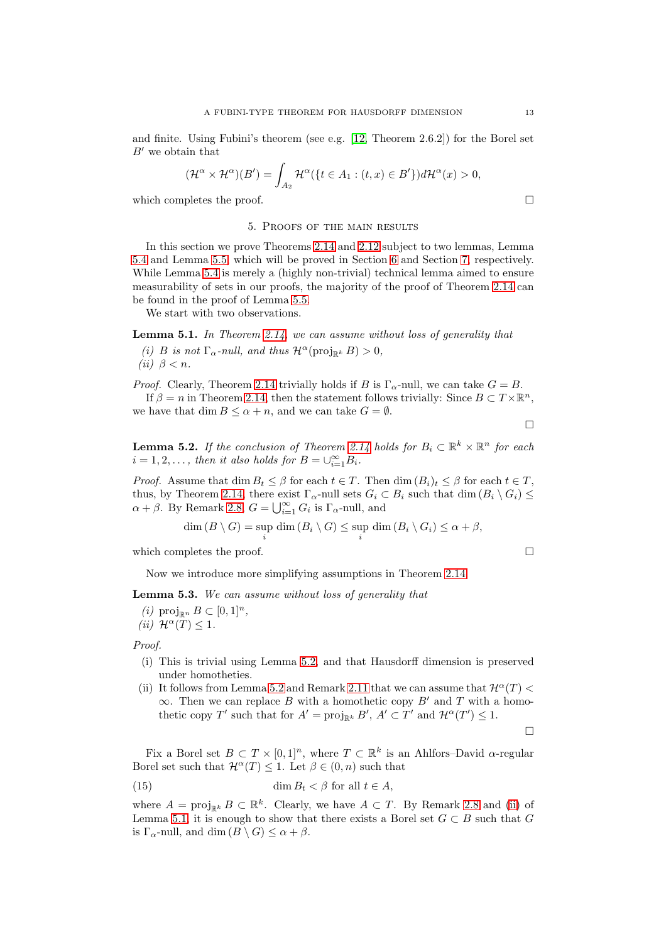and finite. Using Fubini's theorem (see e.g. [\[12,](#page-25-22) Theorem 2.6.2]) for the Borel set  $B'$  we obtain that

$$
(\mathcal{H}^{\alpha}\times \mathcal{H}^{\alpha})(B')=\int_{A_2}\mathcal{H}^{\alpha}(\lbrace t\in A_1:(t,x)\in B'\rbrace)d\mathcal{H}^{\alpha}(x)>0,
$$

<span id="page-12-0"></span>which completes the proof.  $\Box$ 

#### 5. Proofs of the main results

In this section we prove Theorems [2.14](#page-4-2) and [2.12](#page-4-1) subject to two lemmas, Lemma [5.4](#page-14-0) and Lemma [5.5,](#page-14-1) which will be proved in Section [6](#page-15-0) and Section [7,](#page-17-0) respectively. While Lemma [5.4](#page-14-0) is merely a (highly non-trivial) technical lemma aimed to ensure measurability of sets in our proofs, the majority of the proof of Theorem [2.14](#page-4-2) can be found in the proof of Lemma [5.5.](#page-14-1)

We start with two observations.

<span id="page-12-3"></span><span id="page-12-2"></span>Lemma 5.1. In Theorem [2.14,](#page-4-2) we can assume without loss of generality that (i) B is not  $\Gamma_{\alpha}$ -null, and thus  $\mathcal{H}^{\alpha}(\text{proj}_{\mathbb{R}^k} B) > 0$ , (ii)  $\beta < n$ .

*Proof.* Clearly, Theorem [2.14](#page-4-2) trivially holds if B is  $\Gamma_{\alpha}$ -null, we can take  $G = B$ .

If  $\beta = n$  in Theorem [2.14,](#page-4-2) then the statement follows trivially: Since  $B \subset T \times \mathbb{R}^n$ , we have that dim  $B \leq \alpha + n$ , and we can take  $G = \emptyset$ .

 $\Box$ 

<span id="page-12-1"></span>**Lemma 5.2.** If the conclusion of Theorem [2.14](#page-4-2) holds for  $B_i \subset \mathbb{R}^k \times \mathbb{R}^n$  for each  $i = 1, 2, \ldots$ , then it also holds for  $B = \bigcup_{i=1}^{\infty} B_i$ .

*Proof.* Assume that  $\dim B_t \leq \beta$  for each  $t \in T$ . Then  $\dim (B_i)_t \leq \beta$  for each  $t \in T$ , thus, by Theorem [2.14,](#page-4-2) there exist  $\Gamma_{\alpha}$ -null sets  $G_i \subset B_i$  such that dim  $(B_i \setminus G_i) \leq$  $\alpha + \beta$ . By Remark [2.8,](#page-4-4)  $G = \bigcup_{i=1}^{\infty} G_i$  is  $\Gamma_{\alpha}$ -null, and

$$
\dim(B \setminus G) = \sup_{i} \dim(B_i \setminus G) \le \sup_{i} \dim(B_i \setminus G_i) \le \alpha + \beta,
$$

which completes the proof.  $\Box$ 

Now we introduce more simplifying assumptions in Theorem [2.14.](#page-4-2)

<span id="page-12-6"></span>Lemma 5.3. We can assume without loss of generality that

<span id="page-12-5"></span> $(i)$  proj<sub>Rn</sub>  $B \subset [0,1]^n$ ,

(*ii*)  $\mathcal{H}^{\alpha}(T) \leq 1$ .

Proof.

- (i) This is trivial using Lemma [5.2,](#page-12-1) and that Hausdorff dimension is preserved under homotheties.
- (ii) It follows from Lemma [5.2](#page-12-1) and Remark [2.11](#page-4-6) that we can assume that  $\mathcal{H}^{\alpha}(T)$  <  $\infty$ . Then we can replace B with a homothetic copy B' and T with a homothetic copy T' such that for  $A' = \text{proj}_{\mathbb{R}^k} B'$ ,  $A' \subset T'$  and  $\mathcal{H}^{\alpha}(T') \leq 1$ .

 $\Box$ 

Fix a Borel set  $B \subset T \times [0,1]^n$ , where  $T \subset \mathbb{R}^k$  is an Ahlfors–David  $\alpha$ -regular Borel set such that  $\mathcal{H}^{\alpha}(T) \leq 1$ . Let  $\beta \in (0, n)$  such that

<span id="page-12-4"></span>(15) 
$$
\dim B_t < \beta \text{ for all } t \in A,
$$

where  $A = \text{proj}_{\mathbb{R}^k} B \subset \mathbb{R}^k$ . Clearly, we have  $A \subset T$ . By Remark [2.8](#page-4-4) and [\(ii\)](#page-12-2) of Lemma [5.1,](#page-12-3) it is enough to show that there exists a Borel set  $G \subset B$  such that G is  $\Gamma_{\alpha}$ -null, and dim  $(B \setminus G) \leq \alpha + \beta$ .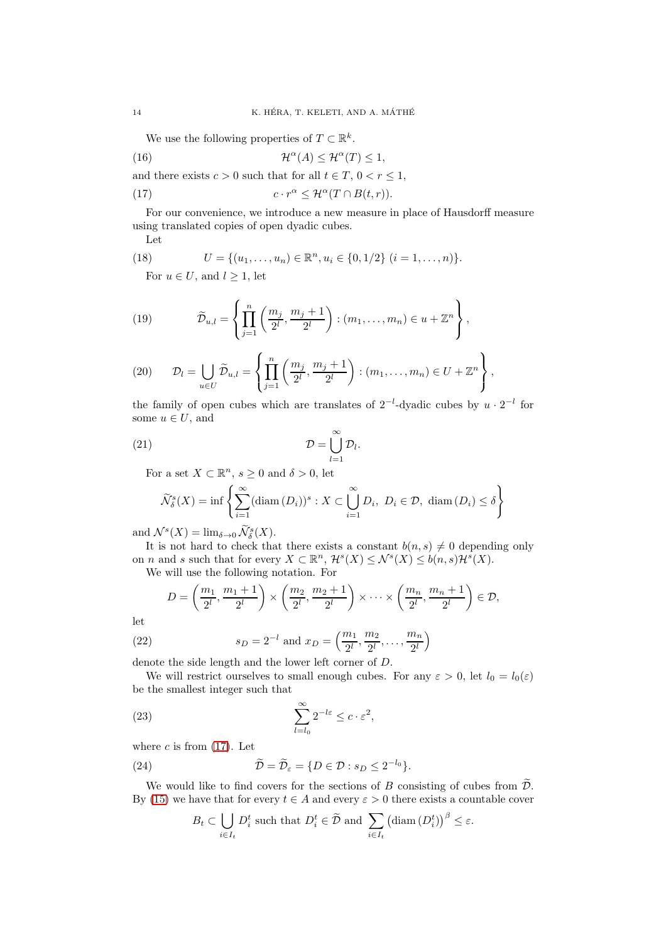<span id="page-13-2"></span>We use the following properties of  $T \subset \mathbb{R}^k$ .

(16) 
$$
\mathcal{H}^{\alpha}(A) \leq \mathcal{H}^{\alpha}(T) \leq 1,
$$

and there exists  $c > 0$  such that for all  $t \in T$ ,  $0 < r \leq 1$ ,

(17) 
$$
c \cdot r^{\alpha} \leq \mathcal{H}^{\alpha}(T \cap B(t,r)).
$$

For our convenience, we introduce a new measure in place of Hausdorff measure using translated copies of open dyadic cubes.

<span id="page-13-3"></span><span id="page-13-0"></span>Let

(18) 
$$
U = \{(u_1, \ldots, u_n) \in \mathbb{R}^n, u_i \in \{0, 1/2\} \ (i = 1, \ldots, n)\}.
$$

For  $u \in U$ , and  $l \geq 1$ , let

(19) 
$$
\widetilde{\mathcal{D}}_{u,l} = \left\{ \prod_{j=1}^n \left( \frac{m_j}{2^l}, \frac{m_j + 1}{2^l} \right) : (m_1, \dots, m_n) \in u + \mathbb{Z}^n \right\},
$$

(20) 
$$
\mathcal{D}_l = \bigcup_{u \in U} \widetilde{\mathcal{D}}_{u,l} = \left\{ \prod_{j=1}^n \left( \frac{m_j}{2^l}, \frac{m_j + 1}{2^l} \right) : (m_1, \dots, m_n) \in U + \mathbb{Z}^n \right\},
$$

the family of open cubes which are translates of  $2^{-l}$ -dyadic cubes by  $u \cdot 2^{-l}$  for some  $u \in U$ , and

.

$$
(21)\t\t\t\t\t\mathcal{D} = \bigcup_{l=1}^{\infty} \mathcal{D}_l
$$

For a set  $X \subset \mathbb{R}^n$ ,  $s \geq 0$  and  $\delta > 0$ , let

$$
\widetilde{\mathcal{N}}_{\delta}^{s}(X) = \inf \left\{ \sum_{i=1}^{\infty} (\text{diam} \,(D_i))^{s} : X \subset \bigcup_{i=1}^{\infty} D_i, \ D_i \in \mathcal{D}, \ \text{diam} \,(D_i) \le \delta \right\}
$$

and  $\mathcal{N}^s(X) = \lim_{\delta \to 0} \widetilde{\mathcal{N}}^s_{\delta}(X)$ .

It is not hard to check that there exists a constant  $b(n, s) \neq 0$  depending only on *n* and *s* such that for every  $X \subset \mathbb{R}^n$ ,  $\mathcal{H}^s(X) \leq \mathcal{N}^s(X) \leq b(n, s)\mathcal{H}^s(X)$ .

We will use the following notation. For

<span id="page-13-1"></span>
$$
D = \left(\frac{m_1}{2^l}, \frac{m_1+1}{2^l}\right) \times \left(\frac{m_2}{2^l}, \frac{m_2+1}{2^l}\right) \times \cdots \times \left(\frac{m_n}{2^l}, \frac{m_n+1}{2^l}\right) \in \mathcal{D},
$$

let

(22) 
$$
s_D = 2^{-l}
$$
 and  $x_D = \left(\frac{m_1}{2^l}, \frac{m_2}{2^l}, \dots, \frac{m_n}{2^l}\right)$ 

denote the side length and the lower left corner of D.

We will restrict ourselves to small enough cubes. For any  $\varepsilon > 0$ , let  $l_0 = l_0(\varepsilon)$ be the smallest integer such that

(23) 
$$
\sum_{l=l_0}^{\infty} 2^{-l\varepsilon} \leq c \cdot \varepsilon^2,
$$

where  $c$  is from  $(17)$ . Let

(24) 
$$
\widetilde{\mathcal{D}} = \widetilde{\mathcal{D}}_{\varepsilon} = \{ D \in \mathcal{D} : s_D \leq 2^{-l_0} \}.
$$

We would like to find covers for the sections of B consisting of cubes from  $\widetilde{\mathcal{D}}$ . By [\(15\)](#page-12-4) we have that for every  $t \in A$  and every  $\varepsilon > 0$  there exists a countable cover

<span id="page-13-4"></span>
$$
B_t \subset \bigcup_{i \in I_t} D_i^t
$$
 such that  $D_i^t \in \tilde{\mathcal{D}}$  and  $\sum_{i \in I_t} (\text{diam}(D_i^t))^{\beta} \leq \varepsilon$ .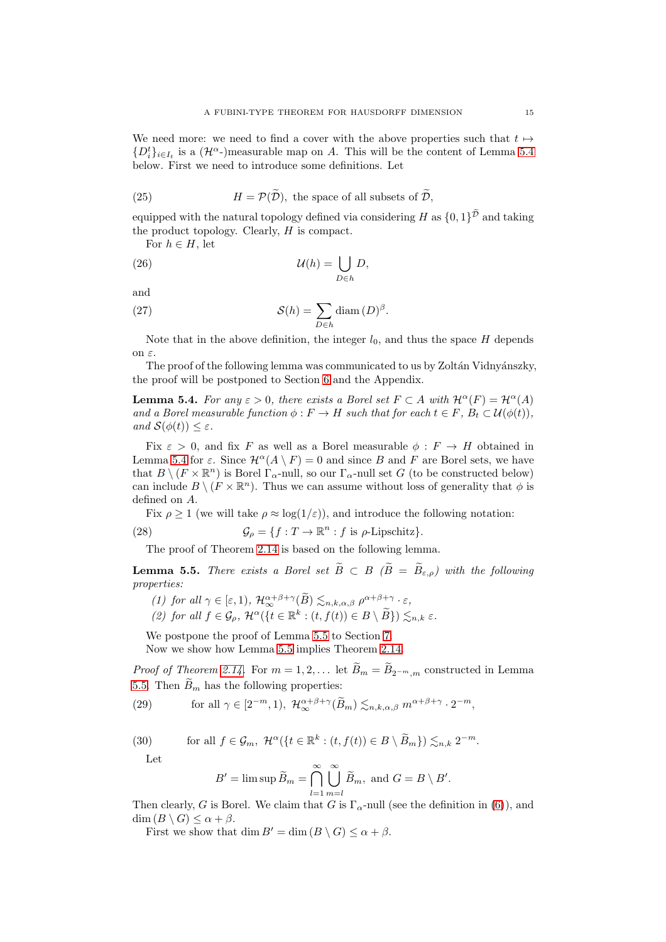We need more: we need to find a cover with the above properties such that  $t \mapsto$  $\{D_i^t\}_{i\in I_t}$  is a  $(\mathcal{H}^{\alpha}$ -)measurable map on A. This will be the content of Lemma [5.4](#page-14-0) below. First we need to introduce some definitions. Let

(25) 
$$
H = \mathcal{P}(\tilde{\mathcal{D}}),
$$
 the space of all subsets of  $\tilde{\mathcal{D}},$ 

equipped with the natural topology defined via considering H as  $\{0,1\}^{\widetilde{\mathcal{D}}}$  and taking the product topology. Clearly, H is compact.

<span id="page-14-4"></span>For  $h \in H$ , let

(26) 
$$
\mathcal{U}(h) = \bigcup_{D \in h} D,
$$

and

<span id="page-14-5"></span>(27) 
$$
\mathcal{S}(h) = \sum_{D \in h} \text{diam}(D)^{\beta}.
$$

Note that in the above definition, the integer  $l_0$ , and thus the space H depends on ε.

The proof of the following lemma was communicated to us by Zoltán Vidnyánszky, the proof will be postponed to Section [6](#page-15-0) and the Appendix.

<span id="page-14-0"></span>**Lemma 5.4.** For any  $\varepsilon > 0$ , there exists a Borel set  $F \subset A$  with  $\mathcal{H}^{\alpha}(F) = \mathcal{H}^{\alpha}(A)$ and a Borel measurable function  $\phi : F \to H$  such that for each  $t \in F$ ,  $B_t \subset \mathcal{U}(\phi(t))$ , and  $\mathcal{S}(\phi(t)) \leq \varepsilon$ .

Fix  $\varepsilon > 0$ , and fix F as well as a Borel measurable  $\phi : F \to H$  obtained in Lemma [5.4](#page-14-0) for  $\varepsilon$ . Since  $\mathcal{H}^{\alpha}(A \setminus F) = 0$  and since B and F are Borel sets, we have that  $B \setminus (F \times \mathbb{R}^n)$  is Borel  $\Gamma_{\alpha}$ -null, so our  $\Gamma_{\alpha}$ -null set G (to be constructed below) can include  $B \setminus (F \times \mathbb{R}^n)$ . Thus we can assume without loss of generality that  $\phi$  is defined on A.

Fix  $\rho \ge 1$  (we will take  $\rho \approx \log(1/\varepsilon)$ ), and introduce the following notation:

(28) 
$$
\mathcal{G}_{\rho} = \{f : T \to \mathbb{R}^n : f \text{ is } \rho\text{-Lipschitz}\}.
$$

<span id="page-14-6"></span>The proof of Theorem [2.14](#page-4-2) is based on the following lemma.

<span id="page-14-1"></span>**Lemma 5.5.** There exists a Borel set  $\widetilde{B} \subset B$  ( $\widetilde{B} = \widetilde{B}_{\varepsilon,0}$ ) with the following properties:

(1) for all 
$$
\gamma \in [\varepsilon, 1)
$$
,  $\mathcal{H}_{\infty}^{\alpha+\beta+\gamma}(\widetilde{B}) \lesssim_{n,k,\alpha,\beta} \rho^{\alpha+\beta+\gamma} \cdot \varepsilon$ ,

(2) for all 
$$
f \in \mathcal{G}_{\rho}
$$
,  $\mathcal{H}^{\alpha}(\lbrace t \in \mathbb{R}^{k} : (t, f(t)) \in B \setminus \widetilde{B} \rbrace) \lesssim_{n,k} \varepsilon$ .

We postpone the proof of Lemma [5.5](#page-14-1) to Section [7.](#page-17-0)

Now we show how Lemma [5.5](#page-14-1) implies Theorem [2.14.](#page-4-2)

*Proof of Theorem [2.14.](#page-4-2)* For  $m = 1, 2, ...$  let  $B_m = B_{2^{-m},m}$  constructed in Lemma [5.5.](#page-14-1) Then  $\widetilde{B}_m$  has the following properties:

<span id="page-14-2"></span>(29) for all 
$$
\gamma \in [2^{-m}, 1)
$$
,  $\mathcal{H}_{\infty}^{\alpha+\beta+\gamma}(\widetilde{B}_m) \lesssim_{n,k,\alpha,\beta} m^{\alpha+\beta+\gamma} \cdot 2^{-m}$ ,

(30) for all 
$$
f \in \mathcal{G}_m
$$
,  $\mathcal{H}^{\alpha}(\lbrace t \in \mathbb{R}^k : (t, f(t)) \in B \setminus \widetilde{B}_m \rbrace) \lesssim_{n,k} 2^{-m}$ .

Let

<span id="page-14-3"></span>
$$
B' = \limsup \widetilde{B}_m = \bigcap_{l=1}^{\infty} \bigcup_{m=l}^{\infty} \widetilde{B}_m
$$
, and  $G = B \setminus B'$ .

Then clearly, G is Borel. We claim that G is  $\Gamma_{\alpha}$ -null (see the definition in [\(6\)](#page-4-5)), and  $\dim (B \setminus G) \leq \alpha + \beta$ .

First we show that dim  $B' = \dim (B \setminus G) \leq \alpha + \beta$ .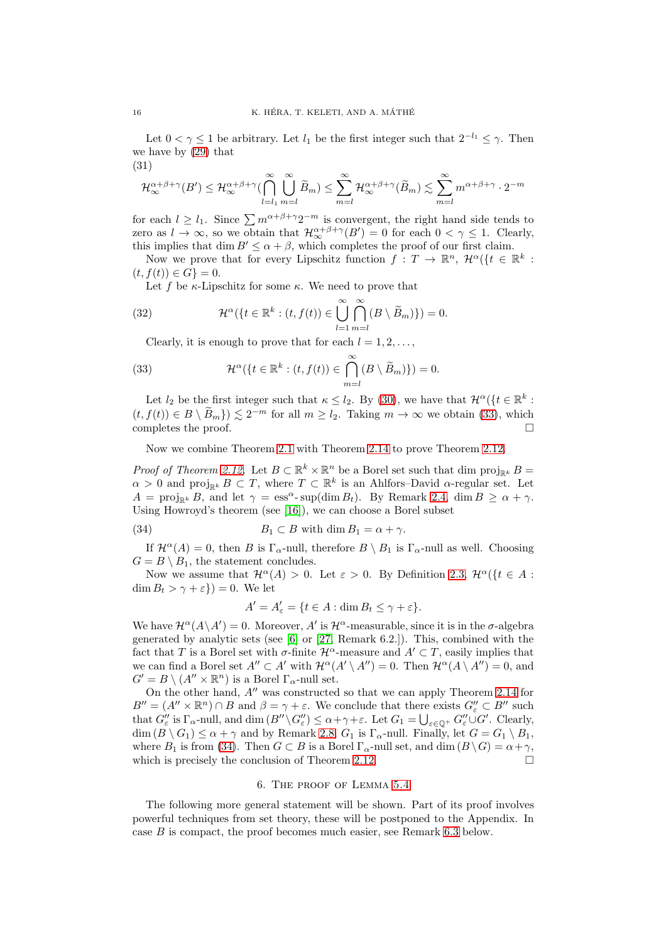Let  $0 < \gamma \leq 1$  be arbitrary. Let  $l_1$  be the first integer such that  $2^{-l_1} \leq \gamma$ . Then we have by [\(29\)](#page-14-2) that

(31)

$$
\mathcal{H}_{\infty}^{\alpha+\beta+\gamma}(B') \leq \mathcal{H}_{\infty}^{\alpha+\beta+\gamma}(\bigcap_{l=l_1}^{\infty} \bigcup_{m=l}^{\infty} \widetilde{B}_m) \leq \sum_{m=l}^{\infty} \mathcal{H}_{\infty}^{\alpha+\beta+\gamma}(\widetilde{B}_m) \lesssim \sum_{m=l}^{\infty} m^{\alpha+\beta+\gamma} \cdot 2^{-m}
$$

for each  $l \geq l_1$ . Since  $\sum m^{\alpha+\beta+\gamma}2^{-m}$  is convergent, the right hand side tends to zero as  $l \to \infty$ , so we obtain that  $\mathcal{H}_{\infty}^{\alpha+\beta+\gamma}(B') = 0$  for each  $0 < \gamma \leq 1$ . Clearly, this implies that dim  $B' \le \alpha + \beta$ , which completes the proof of our first claim.

Now we prove that for every Lipschitz function  $f: T \to \mathbb{R}^n$ ,  $\mathcal{H}^{\alpha}(\{t \in \mathbb{R}^k :$  $(t, f(t)) \in G$ } = 0.

Let f be  $\kappa$ -Lipschitz for some  $\kappa$ . We need to prove that

(32) 
$$
\mathcal{H}^{\alpha}(\lbrace t \in \mathbb{R}^{k} : (t, f(t)) \in \bigcup_{l=1}^{\infty} \bigcap_{m=l}^{\infty} (B \setminus \widetilde{B}_{m}) \rbrace) = 0.
$$

<span id="page-15-1"></span>Clearly, it is enough to prove that for each  $l = 1, 2, \ldots$ ,

(33) 
$$
\mathcal{H}^{\alpha}(\lbrace t \in \mathbb{R}^{k} : (t, f(t)) \in \bigcap_{m=l}^{\infty} (B \setminus \widetilde{B}_{m}) \rbrace) = 0.
$$

Let  $l_2$  be the first integer such that  $\kappa \leq l_2$ . By [\(30\)](#page-14-3), we have that  $\mathcal{H}^{\alpha}(\{t \in \mathbb{R}^k :$  $(t, f(t)) \in B \setminus \tilde{B}_m$   $\geq 2^{-m}$  for all  $m \geq l_2$ . Taking  $m \to \infty$  we obtain [\(33\)](#page-15-1), which completes the proof.

Now we combine Theorem [2.1](#page-2-1) with Theorem [2.14](#page-4-2) to prove Theorem [2.12.](#page-4-1)

*Proof of Theorem [2.12.](#page-4-1)* Let  $B \subset \mathbb{R}^k \times \mathbb{R}^n$  be a Borel set such that dim  $\text{proj}_{\mathbb{R}^k} B =$  $\alpha > 0$  and proj<sub>Rk</sub>  $B \subset T$ , where  $T \subset \mathbb{R}^k$  is an Ahlfors–David  $\alpha$ -regular set. Let  $A = \text{proj}_{\mathbb{R}^k} B$ , and let  $\gamma = \text{ess}^{\alpha}$ - sup(dim  $B_t$ ). By Remark [2.4,](#page-3-3) dim  $B \ge \alpha + \gamma$ . Using Howroyd's theorem (see [\[16\]](#page-25-23)), we can choose a Borel subset

(34) 
$$
B_1 \subset B \text{ with } \dim B_1 = \alpha + \gamma.
$$

If  $\mathcal{H}^{\alpha}(A) = 0$ , then B is  $\Gamma_{\alpha}$ -null, therefore  $B \setminus B_1$  is  $\Gamma_{\alpha}$ -null as well. Choosing  $G = B \setminus B_1$ , the statement concludes.

Now we assume that  $\mathcal{H}^{\alpha}(A) > 0$ . Let  $\varepsilon > 0$ . By Definition [2.3,](#page-2-2)  $\mathcal{H}^{\alpha}(\{t \in A :$  $\dim B_t > \gamma + \varepsilon$ } = 0. We let

<span id="page-15-2"></span>
$$
A' = A'_{\varepsilon} = \{ t \in A : \dim B_t \le \gamma + \varepsilon \}.
$$

We have  $\mathcal{H}^{\alpha}(A \setminus A') = 0$ . Moreover, A' is  $\mathcal{H}^{\alpha}$ -measurable, since it is in the  $\sigma$ -algebra generated by analytic sets (see [\[6\]](#page-25-7) or [\[27,](#page-25-8) Remark 6.2.]). This, combined with the fact that T is a Borel set with  $\sigma$ -finite  $\mathcal{H}^{\alpha}$ -measure and  $A' \subset T$ , easily implies that we can find a Borel set  $A'' \subset A'$  with  $\mathcal{H}^{\alpha}(A' \setminus A'') = 0$ . Then  $\mathcal{H}^{\alpha}(A \setminus A'') = 0$ , and  $G' = B \setminus (A'' \times \mathbb{R}^n)$  is a Borel  $\Gamma_{\alpha}$ -null set.

On the other hand, A′′ was constructed so that we can apply Theorem [2.14](#page-4-2) for  $B'' = (A'' \times \mathbb{R}^n) \cap B$  and  $\beta = \gamma + \varepsilon$ . We conclude that there exists  $G''_{\varepsilon} \subset B''$  such that  $G''_{\varepsilon}$  is  $\Gamma_{\alpha}$ -null, and dim  $(B'' \setminus G''_{\varepsilon}) \leq \alpha + \gamma + \varepsilon$ . Let  $G_1 = \bigcup_{\varepsilon \in \mathbb{Q}^+} G''_{\varepsilon} \cup G'$ . Clearly,  $\dim (B \setminus G_1) \leq \alpha + \gamma$  and by Remark [2.8,](#page-4-4)  $G_1$  is  $\Gamma_{\alpha}$ -null. Finally, let  $G = G_1 \setminus B_1$ , where  $B_1$  is from [\(34\)](#page-15-2). Then  $G \subset B$  is a Borel  $\Gamma_\alpha$ -null set, and dim  $(B \setminus G) = \alpha + \gamma$ , which is precisely the conclusion of Theorem [2.12.](#page-4-1)  $\Box$ 

### 6. The proof of Lemma [5.4](#page-14-0)

<span id="page-15-0"></span>The following more general statement will be shown. Part of its proof involves powerful techniques from set theory, these will be postponed to the Appendix. In case B is compact, the proof becomes much easier, see Remark [6.3](#page-17-1) below.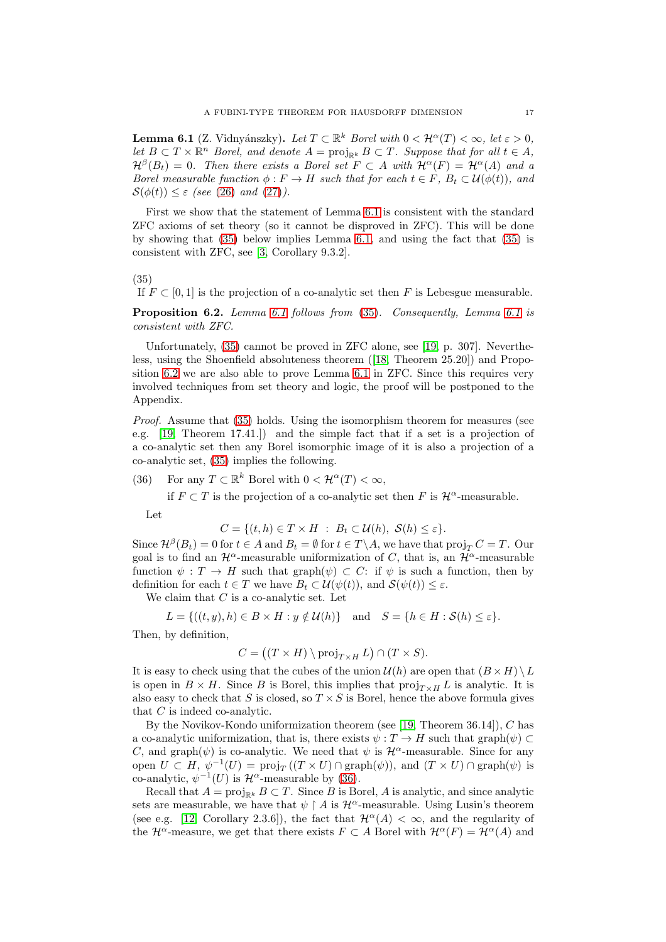<span id="page-16-0"></span>**Lemma 6.1** (Z. Vidnyánszky). Let  $T \subset \mathbb{R}^k$  Borel with  $0 < H^{\alpha}(T) < \infty$ , let  $\varepsilon > 0$ , let  $B \subset T \times \mathbb{R}^n$  Borel, and denote  $A = \text{proj}_{\mathbb{R}^k} B \subset T$ . Suppose that for all  $t \in A$ ,  $\mathcal{H}^{\beta}(B_t) = 0$ . Then there exists a Borel set  $F \subset A$  with  $\mathcal{H}^{\alpha}(F) = \mathcal{H}^{\alpha}(A)$  and a Borel measurable function  $\phi : F \to H$  such that for each  $t \in F$ ,  $B_t \subset \mathcal{U}(\phi(t))$ , and  $S(\phi(t)) \leq \varepsilon$  (see [\(26\)](#page-14-4) and [\(27\)](#page-14-5)).

First we show that the statement of Lemma [6.1](#page-16-0) is consistent with the standard ZFC axioms of set theory (so it cannot be disproved in ZFC). This will be done by showing that [\(35\)](#page-16-1) below implies Lemma [6.1,](#page-16-0) and using the fact that [\(35\)](#page-16-1) is consistent with ZFC, see [\[3,](#page-24-4) Corollary 9.3.2].

(35)

<span id="page-16-1"></span>If  $F \subset [0, 1]$  is the projection of a co-analytic set then F is Lebesgue measurable.

<span id="page-16-2"></span>Proposition 6.2. Lemma [6.1](#page-16-0) follows from [\(35\)](#page-16-1). Consequently, Lemma 6.1 is consistent with ZFC.

Unfortunately, [\(35\)](#page-16-1) cannot be proved in ZFC alone, see [\[19,](#page-25-24) p. 307]. Nevertheless, using the Shoenfield absoluteness theorem([\[18,](#page-25-25) Theorem 25.20]) and Proposition [6.2](#page-16-2) we are also able to prove Lemma [6.1](#page-16-0) in ZFC. Since this requires very involved techniques from set theory and logic, the proof will be postponed to the Appendix.

Proof. Assume that [\(35\)](#page-16-1) holds. Using the isomorphism theorem for measures (see e.g. [\[19,](#page-25-24) Theorem 17.41.]) and the simple fact that if a set is a projection of a co-analytic set then any Borel isomorphic image of it is also a projection of a co-analytic set, [\(35\)](#page-16-1) implies the following.

<span id="page-16-3"></span>(36) For any  $T \subset \mathbb{R}^k$  Borel with  $0 < \mathcal{H}^{\alpha}(T) < \infty$ ,

if  $F \subset T$  is the projection of a co-analytic set then F is  $\mathcal{H}^{\alpha}$ -measurable.

Let

$$
C = \{(t, h) \in T \times H : B_t \subset \mathcal{U}(h), \mathcal{S}(h) \le \varepsilon\}.
$$

Since  $\mathcal{H}^{\beta}(B_t) = 0$  for  $t \in A$  and  $B_t = \emptyset$  for  $t \in T \backslash A$ , we have that  $\text{proj}_T C = T$ . Our goal is to find an  $\mathcal{H}^{\alpha}$ -measurable uniformization of C, that is, an  $\mathcal{H}^{\alpha}$ -measurable function  $\psi : T \to H$  such that graph $(\psi) \subset C$ : if  $\psi$  is such a function, then by definition for each  $t \in T$  we have  $B_t \subset \mathcal{U}(\psi(t))$ , and  $\mathcal{S}(\psi(t)) \leq \varepsilon$ .

We claim that  $C$  is a co-analytic set. Let

$$
L = \{((t, y), h) \in B \times H : y \notin \mathcal{U}(h)\} \text{ and } S = \{h \in H : \mathcal{S}(h) \le \varepsilon\}.
$$

Then, by definition,

$$
C = ((T \times H) \setminus \text{proj}_{T \times H} L) \cap (T \times S).
$$

It is easy to check using that the cubes of the union  $\mathcal{U}(h)$  are open that  $(B \times H) \setminus L$ is open in  $B \times H$ . Since B is Borel, this implies that  $proj_{T \times H} L$  is analytic. It is also easy to check that S is closed, so  $T \times S$  is Borel, hence the above formula gives that C is indeed co-analytic.

By the Novikov-Kondo uniformization theorem (see [\[19,](#page-25-24) Theorem 36.14]), C has a co-analytic uniformization, that is, there exists  $\psi : T \to H$  such that graph $(\psi) \subset$ C, and graph $(\psi)$  is co-analytic. We need that  $\psi$  is  $\mathcal{H}^{\alpha}$ -measurable. Since for any open  $U \subset H$ ,  $\psi^{-1}(U) = \text{proj}_T((T \times U) \cap \text{graph}(\psi))$ , and  $(T \times U) \cap \text{graph}(\psi)$  is co-analytic,  $\psi^{-1}(U)$  is  $\mathcal{H}^{\alpha}$ -measurable by [\(36\)](#page-16-3).

Recall that  $A = \text{proj}_{\mathbb{R}^k} B \subset T$ . Since B is Borel, A is analytic, and since analytic sets are measurable, we have that  $\psi \upharpoonright A$  is  $\mathcal{H}^{\alpha}$ -measurable. Using Lusin's theorem (see e.g. [\[12,](#page-25-22) Corollary 2.3.6]), the fact that  $\mathcal{H}^{\alpha}(A) < \infty$ , and the regularity of the  $\mathcal{H}^{\alpha}$ -measure, we get that there exists  $F \subset A$  Borel with  $\mathcal{H}^{\alpha}(F) = \mathcal{H}^{\alpha}(A)$  and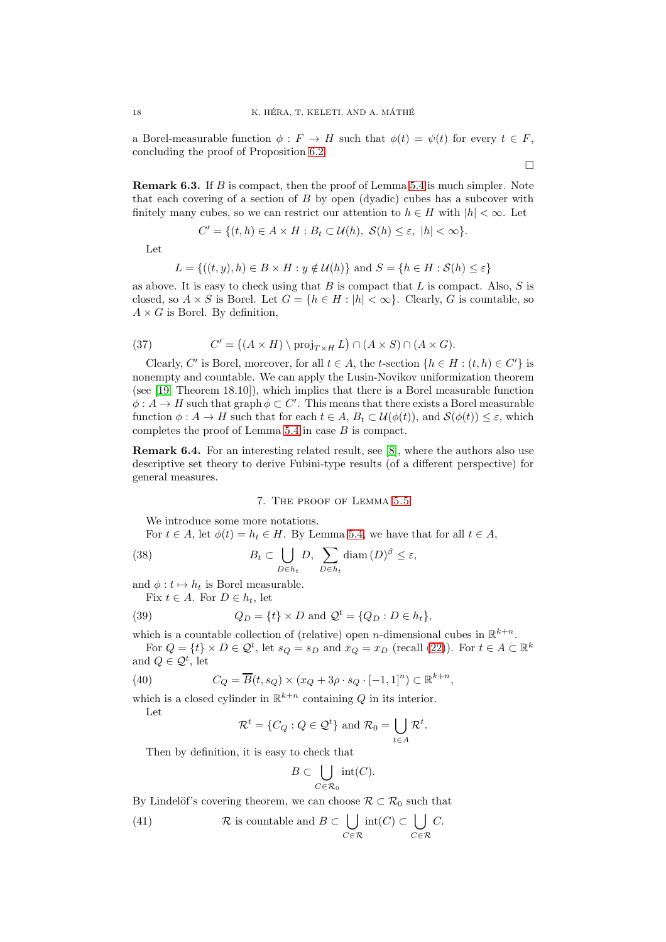a Borel-measurable function  $\phi : F \to H$  such that  $\phi(t) = \psi(t)$  for every  $t \in F$ , concluding the proof of Proposition [6.2.](#page-16-2)

<span id="page-17-1"></span>Remark 6.3. If B is compact, then the proof of Lemma [5.4](#page-14-0) is much simpler. Note that each covering of a section of  $B$  by open (dyadic) cubes has a subcover with finitely many cubes, so we can restrict our attention to  $h \in H$  with  $|h| < \infty$ . Let

$$
C' = \{(t, h) \in A \times H : B_t \subset \mathcal{U}(h), \ \mathcal{S}(h) \le \varepsilon, \ |h| < \infty\}.
$$

Let

$$
L = \{((t, y), h) \in B \times H : y \notin \mathcal{U}(h)\} \text{ and } S = \{h \in H : \mathcal{S}(h) \le \varepsilon\}
$$

as above. It is easy to check using that  $B$  is compact that  $L$  is compact. Also,  $S$  is closed, so  $A \times S$  is Borel. Let  $G = \{h \in H : |h| < \infty\}$ . Clearly, G is countable, so  $A \times G$  is Borel. By definition,

(37) 
$$
C' = ((A \times H) \setminus \text{proj}_{T \times H} L) \cap (A \times S) \cap (A \times G).
$$

Clearly, C' is Borel, moreover, for all  $t \in A$ , the t-section  $\{h \in H : (t, h) \in C'\}$  is nonempty and countable. We can apply the Lusin-Novikov uniformization theorem (see [\[19,](#page-25-24) Theorem 18.10]), which implies that there is a Borel measurable function  $\phi: A \to H$  such that graph  $\phi \subset C'$ . This means that there exists a Borel measurable function  $\phi: A \to H$  such that for each  $t \in A$ ,  $B_t \subset \mathcal{U}(\phi(t))$ , and  $\mathcal{S}(\phi(t)) \leq \varepsilon$ , which completes the proof of Lemma [5.4](#page-14-0) in case B is compact.

Remark 6.4. For an interesting related result, see [\[8\]](#page-25-26), where the authors also use descriptive set theory to derive Fubini-type results (of a different perspective) for general measures.

## 7. The proof of Lemma [5.5](#page-14-1)

<span id="page-17-0"></span>We introduce some more notations.

For  $t \in A$ , let  $\phi(t) = h_t \in H$ . By Lemma [5.4,](#page-14-0) we have that for all  $t \in A$ ,

(38) 
$$
B_t \subset \bigcup_{D \in h_t} D, \sum_{D \in h_t} \text{diam}(D)^{\beta} \leq \varepsilon,
$$

and  $\phi:t\mapsto h_t$  is Borel measurable.

<span id="page-17-3"></span>Fix  $t \in A$ . For  $D \in h_t$ , let

(39) 
$$
Q_D = \{t\} \times D \text{ and } Q^t = \{Q_D : D \in h_t\},
$$

which is a countable collection of (relative) open *n*-dimensional cubes in  $\mathbb{R}^{k+n}$ .

For  $Q = \{t\} \times D \in \mathcal{Q}^t$ , let  $s_Q = s_D$  and  $x_Q = x_D$  (recall [\(22\)](#page-13-1)). For  $t \in A \subset \mathbb{R}^k$ and  $Q \in \mathcal{Q}^t$ , let

(40) 
$$
C_Q = \overline{B}(t, s_Q) \times (x_Q + 3\rho \cdot s_Q \cdot [-1, 1]^n) \subset \mathbb{R}^{k+n},
$$

which is a closed cylinder in  $\mathbb{R}^{k+n}$  containing Q in its interior.

Let

<span id="page-17-4"></span>
$$
\mathcal{R}^t = \{C_Q : Q \in \mathcal{Q}^t\} \text{ and } \mathcal{R}_0 = \bigcup_{t \in A} \mathcal{R}^t.
$$

Then by definition, it is easy to check that

<span id="page-17-2"></span>
$$
B \subset \bigcup_{C \in \mathcal{R}_0} \mathrm{int}(C).
$$

By Lindelöf's covering theorem, we can choose  $\mathcal{R} \subset \mathcal{R}_0$  such that

(41) 
$$
\mathcal{R}
$$
 is countable and  $B \subset \bigcup_{C \in \mathcal{R}} \text{int}(C) \subset \bigcup_{C \in \mathcal{R}} C$ .

 $\Box$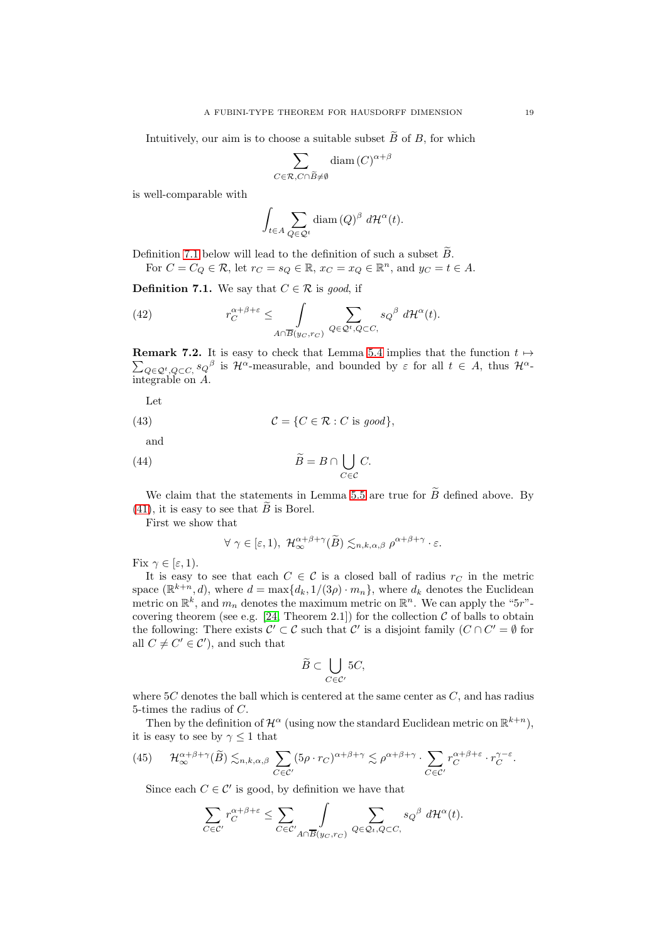Intuitively, our aim is to choose a suitable subset  $\widetilde{B}$  of B, for which

$$
\sum_{C \in \mathcal{R}, C \cap \widetilde{B} \neq \emptyset} \text{diam}(C)^{\alpha + \beta}
$$

is well-comparable with

$$
\int_{t \in A} \sum_{Q \in \mathcal{Q}^t} \text{diam}(Q)^{\beta} d\mathcal{H}^{\alpha}(t).
$$

Definition [7.1](#page-18-0) below will lead to the definition of such a subset  $\widetilde{B}$ . For  $C = C_Q \in \mathcal{R}$ , let  $r_C = s_Q \in \mathbb{R}$ ,  $x_C = x_Q \in \mathbb{R}^n$ , and  $y_C = t \in A$ .

<span id="page-18-0"></span>**Definition 7.1.** We say that  $C \in \mathcal{R}$  is good, if

<span id="page-18-3"></span>(42) 
$$
r_C^{\alpha+\beta+\varepsilon} \leq \int\limits_{A \cap \overline{B}(y_C, r_C)} \sum\limits_{Q \in \mathcal{Q}^t, Q \subset C,} s_Q{}^{\beta} d\mathcal{H}^{\alpha}(t).
$$

**Remark 7.2.** It is easy to check that Lemma [5.4](#page-14-0) implies that the function  $t \mapsto$  $\sum_{Q\in\mathcal{Q}^t,Q\subset C,} s_Q^{\beta}$  is  $\mathcal{H}^{\alpha}$ -measurable, and bounded by  $\varepsilon$  for all  $t \in A$ , thus  $\mathcal{H}^{\alpha}$ integrable on A.

<span id="page-18-2"></span>Let

(43) 
$$
\mathcal{C} = \{C \in \mathcal{R} : C \text{ is good}\},\
$$

and

(44) 
$$
\widetilde{B} = B \cap \bigcup_{C \in \mathcal{C}} C.
$$

We claim that the statements in Lemma [5.5](#page-14-1) are true for  $\widetilde{B}$  defined above. By [\(41\)](#page-17-2), it is easy to see that  $\widetilde{B}$  is Borel.

First we show that

<span id="page-18-4"></span>
$$
\forall \gamma \in [\varepsilon, 1), \ \mathcal{H}_{\infty}^{\alpha+\beta+\gamma}(\widetilde{B}) \lesssim_{n,k,\alpha,\beta} \rho^{\alpha+\beta+\gamma} \cdot \varepsilon.
$$

Fix  $\gamma \in [\varepsilon, 1)$ .

It is easy to see that each  $C \in \mathcal{C}$  is a closed ball of radius  $r_C$  in the metric space  $(\mathbb{R}^{k+n}, d)$ , where  $d = \max\{d_k, 1/(3\rho) \cdot m_n\}$ , where  $d_k$  denotes the Euclidean metric on  $\mathbb{R}^k$ , and  $m_n$  denotes the maximum metric on  $\mathbb{R}^n$ . We can apply the "5r"covering theorem (see e.g.  $[24,$  Theorem 2.1]) for the collection  $C$  of balls to obtain the following: There exists  $\mathcal{C}' \subset \mathcal{C}$  such that  $\mathcal{C}'$  is a disjoint family  $(C \cap C' = \emptyset$  for all  $C \neq C' \in \mathcal{C}'$ , and such that

$$
\widetilde{B}\subset \bigcup_{C\in\mathcal{C}'} 5C,
$$

where  $5C$  denotes the ball which is centered at the same center as  $C$ , and has radius 5-times the radius of C.

Then by the definition of  $\mathcal{H}^{\alpha}$  (using now the standard Euclidean metric on  $\mathbb{R}^{k+n}$ ), it is easy to see by  $\gamma \leq 1$  that

<span id="page-18-1"></span>(45) 
$$
\mathcal{H}_{\infty}^{\alpha+\beta+\gamma}(\widetilde{B}) \lesssim_{n,k,\alpha,\beta} \sum_{C \in \mathcal{C}'} (5\rho \cdot r_C)^{\alpha+\beta+\gamma} \lesssim \rho^{\alpha+\beta+\gamma} \cdot \sum_{C \in \mathcal{C}'} r_C^{\alpha+\beta+\varepsilon} \cdot r_C^{\gamma-\varepsilon}.
$$

Since each  $C \in \mathcal{C}'$  is good, by definition we have that

$$
\sum_{C \in \mathcal{C}'} r_C^{\alpha+\beta+\varepsilon} \leq \sum_{C \in \mathcal{C}'} \int_{A \cap \overline{B}(y_C, r_C)} \sum_{Q \in \mathcal{Q}_t, Q \subset C,} s_Q{}^\beta \ d\mathcal{H}^\alpha(t).
$$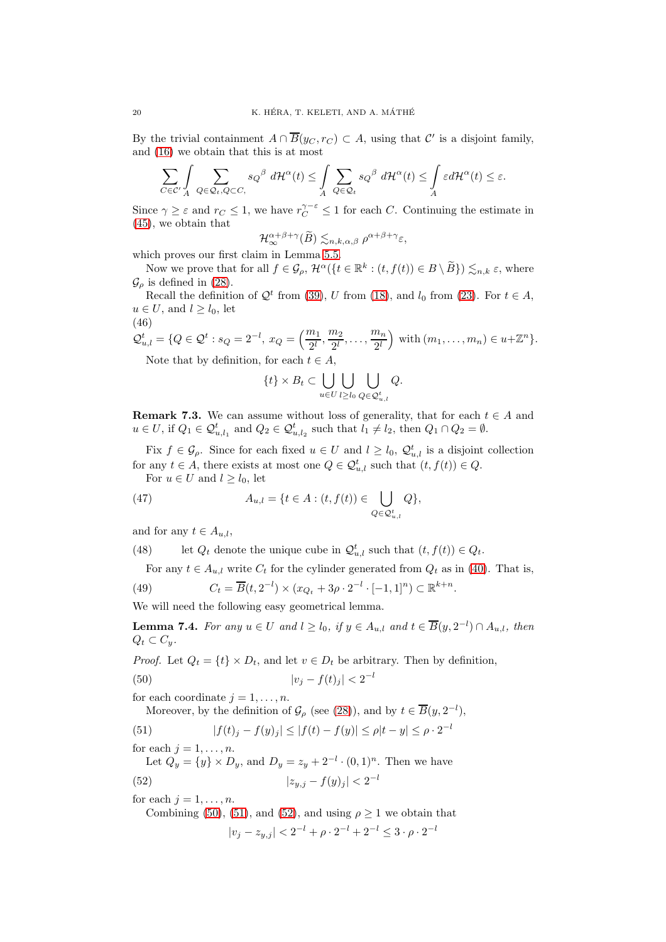By the trivial containment  $A \cap \overline{B}(y_C, r_C) \subset A$ , using that  $\mathcal{C}'$  is a disjoint family, and [\(16\)](#page-13-2) we obtain that this is at most

$$
\sum_{C\in\mathcal{C}'}\int\sum_{Q\in\mathcal{Q}_t,Q\subset C,\,s_Q} s_Q{}^\beta\ d\mathcal{H}^\alpha(t)\leq \int\limits_A \sum_{Q\in\mathcal{Q}_t} s_Q{}^\beta\ d\mathcal{H}^\alpha(t)\leq \int\limits_A \varepsilon d\mathcal{H}^\alpha(t)\leq \varepsilon.
$$

Since  $\gamma \geq \varepsilon$  and  $r_C \leq 1$ , we have  $r_C^{\gamma-\varepsilon} \leq 1$  for each C. Continuing the estimate in [\(45\)](#page-18-1), we obtain that  $\overline{a}$ 

$$
\mathcal{H}_{\infty}^{\alpha+\beta+\gamma}(\widetilde{B})\lesssim_{n,k,\alpha,\beta}\rho^{\alpha+\beta+\gamma}\varepsilon,
$$

which proves our first claim in Lemma [5.5.](#page-14-1)

Now we prove that for all  $f \in \mathcal{G}_{\rho}$ ,  $\mathcal{H}^{\alpha}(\{t \in \mathbb{R}^{k} : (t, f(t)) \in B \setminus \widetilde{B}\}) \lesssim_{n,k} \varepsilon$ , where  $\mathcal{G}_{\rho}$  is defined in [\(28\)](#page-14-6).

Recall the definition of  $\mathcal{Q}^t$  from [\(39\)](#page-17-3), U from [\(18\)](#page-13-3), and  $l_0$  from [\(23\)](#page-13-4). For  $t \in A$ ,  $u \in U$ , and  $l \geq l_0$ , let

$$
(46)
$$

$$
Q_{u,l}^t = \{Q \in \mathcal{Q}^t : s_Q = 2^{-l}, x_Q = \left(\frac{m_1}{2^l}, \frac{m_2}{2^l}, \dots, \frac{m_n}{2^l}\right) \text{ with } (m_1, \dots, m_n) \in u + \mathbb{Z}^n\}.
$$

Note that by definition, for each  $t \in A$ ,

$$
\{t\} \times B_t \subset \bigcup_{u \in U} \bigcup_{l \ge l_0} \bigcup_{Q \in \mathcal{Q}_{u,l}^t} Q.
$$

<span id="page-19-5"></span>**Remark 7.3.** We can assume without loss of generality, that for each  $t \in A$  and  $u \in U$ , if  $Q_1 \in \mathcal{Q}_{u,l_1}^t$  and  $Q_2 \in \mathcal{Q}_{u,l_2}^t$  such that  $l_1 \neq l_2$ , then  $Q_1 \cap Q_2 = \emptyset$ .

Fix  $f \in \mathcal{G}_\rho$ . Since for each fixed  $u \in U$  and  $l \geq l_0$ ,  $\mathcal{Q}_{u,l}^t$  is a disjoint collection for any  $t \in A$ , there exists at most one  $Q \in \mathcal{Q}_{u,l}^{t}$  such that  $(t, f(t)) \in Q$ .

For  $u \in U$  and  $l \geq l_0$ , let

(47) 
$$
A_{u,l} = \{t \in A : (t, f(t)) \in \bigcup_{Q \in \mathcal{Q}_{u,l}^t} Q\},\
$$

and for any  $t \in A_{u,l}$ ,

(48) let  $Q_t$  denote the unique cube in  $\mathcal{Q}_{u,l}^t$  such that  $(t, f(t)) \in Q_t$ .

<span id="page-19-3"></span>For any  $t \in A_{u,l}$  write  $C_t$  for the cylinder generated from  $Q_t$  as in [\(40\)](#page-17-4). That is,

(49) 
$$
C_t = \overline{B}(t, 2^{-l}) \times (x_{Q_t} + 3\rho \cdot 2^{-l} \cdot [-1, 1]^n) \subset \mathbb{R}^{k+n}.
$$

We will need the following easy geometrical lemma.

<span id="page-19-4"></span>**Lemma 7.4.** For any  $u \in U$  and  $l \geq l_0$ , if  $y \in A_{u,l}$  and  $t \in \overline{B}(y, 2^{-l}) \cap A_{u,l}$ , then  $Q_t \subset C_u$ .

*Proof.* Let  $Q_t = \{t\} \times D_t$ , and let  $v \in D_t$  be arbitrary. Then by definition,

(50) 
$$
|v_j - f(t)_j| < 2^{-l}
$$

for each coordinate  $j = 1, \ldots, n$ .

<span id="page-19-1"></span><span id="page-19-0"></span>Moreover, by the definition of  $\mathcal{G}_{\rho}$  (see [\(28\)](#page-14-6)), and by  $t \in \overline{B}(y, 2^{-l}),$ 

(51) 
$$
|f(t)_j - f(y)_j| \le |f(t) - f(y)| \le \rho |t - y| \le \rho \cdot 2^{-l}
$$

for each  $j = 1, \ldots, n$ .

Let  $Q_y = \{y\} \times D_y$ , and  $D_y = z_y + 2^{-l} \cdot (0,1)^n$ . Then we have (52)  $|z_{y,j} - f(y)_j| < 2^{-l}$ 

for each  $j = 1, \ldots, n$ .

Combining [\(50\)](#page-19-0), [\(51\)](#page-19-1), and [\(52\)](#page-19-2), and using  $\rho \geq 1$  we obtain that

<span id="page-19-2"></span>
$$
|v_j - z_{y,j}| < 2^{-l} + \rho \cdot 2^{-l} + 2^{-l} \le 3 \cdot \rho \cdot 2^{-l}
$$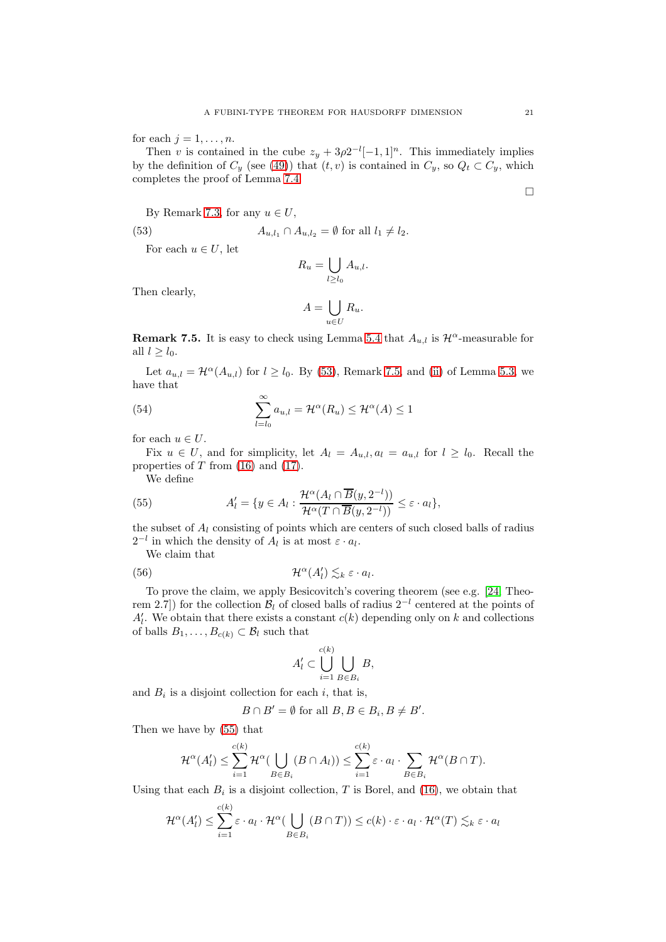for each  $j = 1, \ldots, n$ .

Then v is contained in the cube  $z_y + 3\rho 2^{-l}[-1,1]^n$ . This immediately implies by the definition of  $C_y$  (see [\(49\)](#page-19-3)) that  $(t, v)$  is contained in  $C_y$ , so  $Q_t \subset C_y$ , which completes the proof of Lemma [7.4.](#page-19-4)

By Remark [7.3,](#page-19-5) for any  $u \in U$ ,

(53)  $A_{u,l_1} \cap A_{u,l_2} = \emptyset$  for all  $l_1 \neq l_2$ .

For each  $u \in U$ , let

<span id="page-20-0"></span>
$$
R_u = \bigcup_{l \ge l_0} A_{u,l}.
$$

Then clearly,

<span id="page-20-4"></span>
$$
A = \bigcup_{u \in U} R_u.
$$

<span id="page-20-1"></span>**Remark 7.5.** It is easy to check using Lemma [5.4](#page-14-0) that  $A_{u,l}$  is  $\mathcal{H}^{\alpha}$ -measurable for all  $l > l_0$ .

Let  $a_{u,l} = \mathcal{H}^{\alpha}(A_{u,l})$  for  $l \geq l_0$ . By [\(53\)](#page-20-0), Remark [7.5,](#page-20-1) and [\(ii\)](#page-12-5) of Lemma [5.3,](#page-12-6) we have that

(54) 
$$
\sum_{l=l_0}^{\infty} a_{u,l} = \mathcal{H}^{\alpha}(R_u) \le \mathcal{H}^{\alpha}(A) \le 1
$$

for each  $u \in U$ .

Fix  $u \in U$ , and for simplicity, let  $A_l = A_{u,l}$ ,  $a_l = a_{u,l}$  for  $l \geq l_0$ . Recall the properties of  $T$  from  $(16)$  and  $(17)$ .

<span id="page-20-2"></span>We define

(55) 
$$
A'_{l} = \{ y \in A_{l} : \frac{\mathcal{H}^{\alpha}(A_{l} \cap \overline{B}(y, 2^{-l}))}{\mathcal{H}^{\alpha}(T \cap \overline{B}(y, 2^{-l}))} \leq \varepsilon \cdot a_{l} \},
$$

the subset of  $A<sub>l</sub>$  consisting of points which are centers of such closed balls of radius  $2^{-l}$  in which the density of  $A_l$  is at most  $\varepsilon \cdot a_l$ .

We claim that

(56) 
$$
\mathcal{H}^{\alpha}(A'_{l}) \lesssim_{k} \varepsilon \cdot a_{l}.
$$

To prove the claim, we apply Besicovitch's covering theorem (see e.g. [\[24,](#page-25-3) Theorem 2.7) for the collection  $\mathcal{B}_l$  of closed balls of radius 2<sup>-l</sup> centered at the points of  $A'_{l}$ . We obtain that there exists a constant  $c(k)$  depending only on k and collections of balls  $B_1, \ldots, B_{c(k)} \subset \mathcal{B}_l$  such that

<span id="page-20-3"></span>
$$
A'_l \subset \bigcup_{i=1}^{c(k)} \bigcup_{B \in B_i} B,
$$

and  $B_i$  is a disjoint collection for each i, that is,

$$
B \cap B' = \emptyset \text{ for all } B, B \in B_i, B \neq B'.
$$

Then we have by [\(55\)](#page-20-2) that

$$
\mathcal{H}^{\alpha}(A'_l) \leq \sum_{i=1}^{c(k)} \mathcal{H}^{\alpha}(\bigcup_{B \in B_i} (B \cap A_l)) \leq \sum_{i=1}^{c(k)} \varepsilon \cdot a_l \cdot \sum_{B \in B_i} \mathcal{H}^{\alpha}(B \cap T).
$$

Using that each  $B_i$  is a disjoint collection, T is Borel, and [\(16\)](#page-13-2), we obtain that

$$
\mathcal{H}^{\alpha}(A'_l) \leq \sum_{i=1}^{c(k)} \varepsilon \cdot a_l \cdot \mathcal{H}^{\alpha}(\bigcup_{B \in B_i} (B \cap T)) \leq c(k) \cdot \varepsilon \cdot a_l \cdot \mathcal{H}^{\alpha}(T) \lesssim_k \varepsilon \cdot a_l
$$

 $\Box$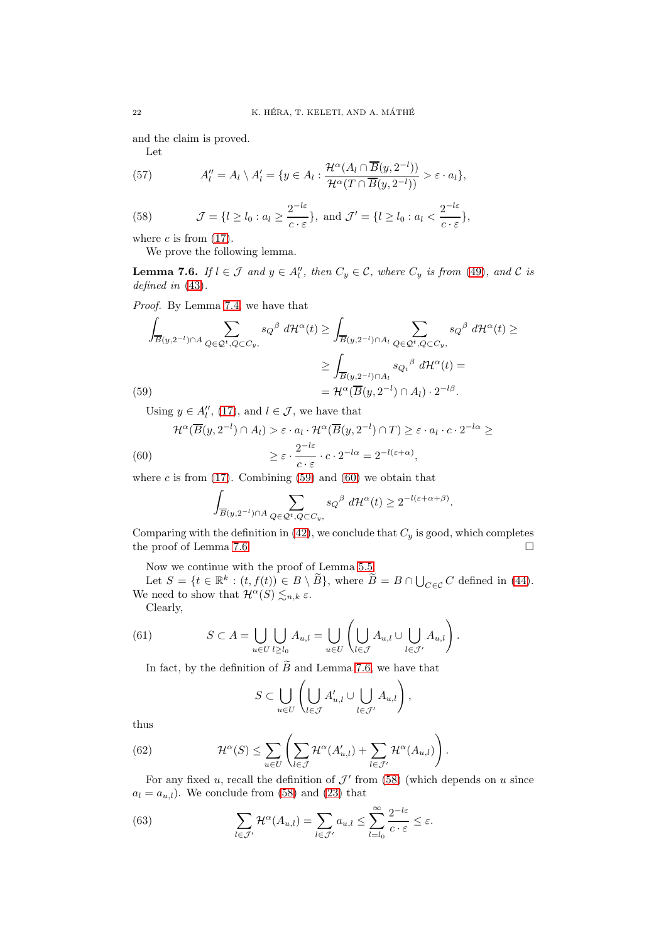and the claim is proved.

$$
-{\rm Let}
$$

(57) 
$$
A''_l = A_l \setminus A'_l = \{ y \in A_l : \frac{\mathcal{H}^{\alpha}(A_l \cap \overline{B}(y, 2^{-l}))}{\mathcal{H}^{\alpha}(T \cap \overline{B}(y, 2^{-l}))} > \varepsilon \cdot a_l \},
$$

<span id="page-21-3"></span>(58) 
$$
\mathcal{J} = \{l \ge l_0 : a_l \ge \frac{2^{-l\varepsilon}}{c \cdot \varepsilon}\}, \text{ and } \mathcal{J}' = \{l \ge l_0 : a_l < \frac{2^{-l\varepsilon}}{c \cdot \varepsilon}\},
$$

where  $c$  is from  $(17)$ .

We prove the following lemma.

<span id="page-21-2"></span>**Lemma 7.6.** If  $l \in \mathcal{J}$  and  $y \in A''_l$ , then  $C_y \in \mathcal{C}$ , where  $C_y$  is from [\(49\)](#page-19-3), and  $\mathcal{C}$  is defined in [\(43\)](#page-18-2).

Proof. By Lemma [7.4,](#page-19-4) we have that

$$
\int_{\overline{B}(y,2^{-l})\cap A} \sum_{Q\in\mathcal{Q}^t, Q\subset C_y,} s_Q^{\beta} d\mathcal{H}^{\alpha}(t) \ge \int_{\overline{B}(y,2^{-l})\cap A_l} \sum_{Q\in\mathcal{Q}^t, Q\subset C_y,} s_Q^{\beta} d\mathcal{H}^{\alpha}(t) \ge
$$
\n
$$
\ge \int_{\overline{B}(y,2^{-l})\cap A_l} s_{Q_t}^{\beta} d\mathcal{H}^{\alpha}(t) =
$$
\n
$$
(59)
$$
\n
$$
= \mathcal{H}^{\alpha}(\overline{B}(y,2^{-l})\cap A_l) \cdot 2^{-l\beta}.
$$

<span id="page-21-0"></span>Using  $y \in A_l''$ , [\(17\)](#page-13-0), and  $l \in \mathcal{J}$ , we have that

<span id="page-21-1"></span>(60)  
\n
$$
\mathcal{H}^{\alpha}(\overline{B}(y,2^{-l}) \cap A_{l}) > \varepsilon \cdot a_{l} \cdot \mathcal{H}^{\alpha}(\overline{B}(y,2^{-l}) \cap T) \geq \varepsilon \cdot a_{l} \cdot c \cdot 2^{-l\alpha} \geq
$$
\n
$$
\geq \varepsilon \cdot \frac{2^{-l\varepsilon}}{c \cdot \varepsilon} \cdot c \cdot 2^{-l\alpha} = 2^{-l(\varepsilon + \alpha)},
$$

where c is from  $(17)$ . Combining  $(59)$  and  $(60)$  we obtain that

$$
\int_{\overline{B}(y,2^{-l})\cap A}\sum_{Q\in\mathcal{Q}^t,Q\subset C_y,s} s_Q{}^{\beta}\ d\mathcal{H}^{\alpha}(t)\geq 2^{-l(\varepsilon+\alpha+\beta)}.
$$

Comparing with the definition in [\(42\)](#page-18-3), we conclude that  $C_y$  is good, which completes the proof of Lemma [7.6.](#page-21-2)

Now we continue with the proof of Lemma [5.5.](#page-14-1)

Let  $S = \{t \in \mathbb{R}^k : (t, f(t)) \in B \setminus \widetilde{B}\}$ , where  $\widetilde{B} = B \cap \bigcup_{C \in \mathcal{C}} C$  defined in [\(44\)](#page-18-4). We need to show that  $\mathcal{H}^{\alpha}(S) \lesssim_{n,k} \varepsilon$ .

Clearly,

(61) 
$$
S \subset A = \bigcup_{u \in U} \bigcup_{l \geq l_0} A_{u,l} = \bigcup_{u \in U} \left( \bigcup_{l \in \mathcal{J}} A_{u,l} \cup \bigcup_{l \in \mathcal{J}'} A_{u,l} \right).
$$

In fact, by the definition of  $\tilde{B}$  and Lemma [7.6,](#page-21-2) we have that

<span id="page-21-4"></span>
$$
S\subset \bigcup_{u\in U}\left(\bigcup_{l\in\mathcal{J}}A'_{u,l}\cup\bigcup_{l\in\mathcal{J}'}A_{u,l}\right),
$$

thus

(62) 
$$
\mathcal{H}^{\alpha}(S) \leq \sum_{u \in U} \left( \sum_{l \in \mathcal{J}} \mathcal{H}^{\alpha}(A'_{u,l}) + \sum_{l \in \mathcal{J}'} \mathcal{H}^{\alpha}(A_{u,l}) \right).
$$

For any fixed u, recall the definition of  $\mathcal{J}'$  from [\(58\)](#page-21-3) (which depends on u since  $a_l = a_{u,l}$ . We conclude from [\(58\)](#page-21-3) and [\(23\)](#page-13-4) that

<span id="page-21-5"></span>(63) 
$$
\sum_{l \in \mathcal{J}'} \mathcal{H}^{\alpha}(A_{u,l}) = \sum_{l \in \mathcal{J}'} a_{u,l} \leq \sum_{l=l_0}^{\infty} \frac{2^{-l\varepsilon}}{c \cdot \varepsilon} \leq \varepsilon.
$$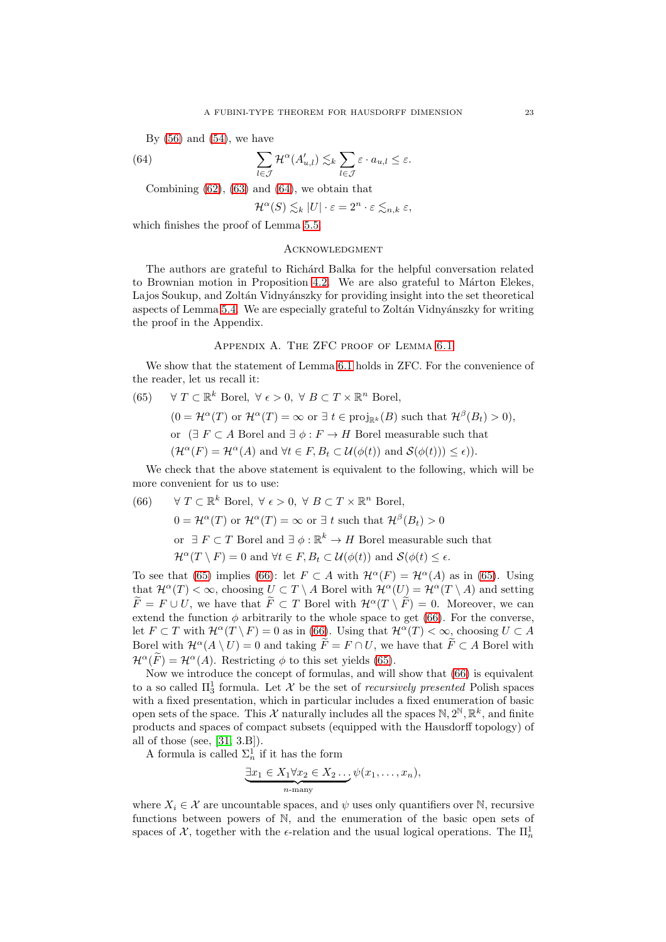By  $(56)$  and  $(54)$ , we have

(64) 
$$
\sum_{l \in \mathcal{J}} \mathcal{H}^{\alpha}(A'_{u,l}) \lesssim_{k} \sum_{l \in \mathcal{J}} \varepsilon \cdot a_{u,l} \leq \varepsilon.
$$

Combining  $(62)$ ,  $(63)$  and  $(64)$ , we obtain that

<span id="page-22-2"></span>
$$
\mathcal{H}^{\alpha}(S) \lesssim_k |U| \cdot \varepsilon = 2^n \cdot \varepsilon \lesssim_{n,k} \varepsilon,
$$

which finishes the proof of Lemma [5.5.](#page-14-1)

### <span id="page-22-0"></span>**ACKNOWLEDGMENT**

The authors are grateful to Rich´ard Balka for the helpful conversation related to Brownian motion in Proposition [4.2.](#page-10-1) We are also grateful to Márton Elekes, Lajos Soukup, and Zoltán Vidnyánszky for providing insight into the set theoretical aspects of Lemma [5.4.](#page-14-0) We are especially grateful to Zoltán Vidnyánszky for writing the proof in the Appendix.

### Appendix A. The ZFC proof of Lemma [6.1](#page-16-0)

<span id="page-22-1"></span>We show that the statement of Lemma [6.1](#page-16-0) holds in ZFC. For the convenience of the reader, let us recall it:

<span id="page-22-3"></span>(65) 
$$
\forall T \subset \mathbb{R}^k
$$
 Borel,  $\forall \epsilon > 0$ ,  $\forall B \subset T \times \mathbb{R}^n$  Borel,

 $(0 = \mathcal{H}^{\alpha}(T) \text{ or } \mathcal{H}^{\alpha}(T) = \infty \text{ or } \exists t \in \text{proj}_{\mathbb{R}^{k}}(B) \text{ such that } \mathcal{H}^{\beta}(B_{t}) > 0),$ 

or  $(\exists F \subset A$  Borel and  $\exists \phi : F \to H$  Borel measurable such that

 $(\mathcal{H}^{\alpha}(F) = \mathcal{H}^{\alpha}(A)$  and  $\forall t \in F, B_t \subset \mathcal{U}(\phi(t))$  and  $\mathcal{S}(\phi(t)) \leq \epsilon)$ .

We check that the above statement is equivalent to the following, which will be more convenient for us to use:

<span id="page-22-4"></span>(66) 
$$
\forall T \subset \mathbb{R}^k
$$
 Borel,  $\forall \epsilon > 0$ ,  $\forall B \subset T \times \mathbb{R}^n$  Borel,  $0 = \mathcal{H}^{\alpha}(T)$  or  $\mathcal{H}^{\alpha}(T) = \infty$  or  $\exists t$  such that  $\mathcal{H}^{\beta}(B_t) > 0$  or  $\exists F \subset T$  Borel and  $\exists \phi : \mathbb{R}^k \to H$  Borel measurable such that  $\mathcal{H}^{\alpha}(T \setminus F) = 0$  and  $\forall t \in F, B_t \subset \mathcal{U}(\phi(t))$  and  $\mathcal{S}(\phi(t) \leq \epsilon)$ .

To see that [\(65\)](#page-22-3) implies [\(66\)](#page-22-4): let  $F \subset A$  with  $\mathcal{H}^{\alpha}(F) = \mathcal{H}^{\alpha}(A)$  as in (65). Using that  $\mathcal{H}^{\alpha}(T) < \infty$ , choosing  $U \subset T \setminus A$  Borel with  $\mathcal{H}^{\alpha}(U) = \mathcal{H}^{\alpha}(T \setminus A)$  and setting  $F = F \cup U$ , we have that  $F \subset T$  Borel with  $\mathcal{H}^{\alpha}(T \setminus F) = 0$ . Moreover, we can extend the function  $\phi$  arbitrarily to the whole space to get [\(66\)](#page-22-4). For the converse, let  $F \subset T$  with  $\mathcal{H}^{\alpha}(T \setminus F) = 0$  as in [\(66\)](#page-22-4). Using that  $\mathcal{H}^{\alpha}(T) < \infty$ , choosing  $U \subset A$ Borel with  $\mathcal{H}^{\alpha}(A \setminus U) = 0$  and taking  $\widetilde{F} = F \cap U$ , we have that  $\widetilde{F} \subset A$  Borel with  $\mathcal{H}^{\alpha}(F) = \mathcal{H}^{\alpha}(A)$ . Restricting  $\phi$  to this set yields [\(65\)](#page-22-3).

Now we introduce the concept of formulas, and will show that [\(66\)](#page-22-4) is equivalent to a so called  $\Pi_3^1$  formula. Let X be the set of *recursively presented* Polish spaces with a fixed presentation, which in particular includes a fixed enumeration of basic open sets of the space. This X naturally includes all the spaces  $N, 2^N, \mathbb{R}^k$ , and finite products and spaces of compact subsets (equipped with the Hausdorff topology) of all of those (see, [\[31,](#page-25-27) 3.B]).

A formula is called  $\Sigma_n^1$  if it has the form

$$
\underbrace{\exists x_1 \in X_1 \forall x_2 \in X_2 \dots}_{n-\text{many}} \psi(x_1, \dots, x_n),
$$

where  $X_i \in \mathcal{X}$  are uncountable spaces, and  $\psi$  uses only quantifiers over N, recursive functions between powers of N, and the enumeration of the basic open sets of spaces of  $\mathcal{X}$ , together with the  $\epsilon$ -relation and the usual logical operations. The  $\Pi_n^1$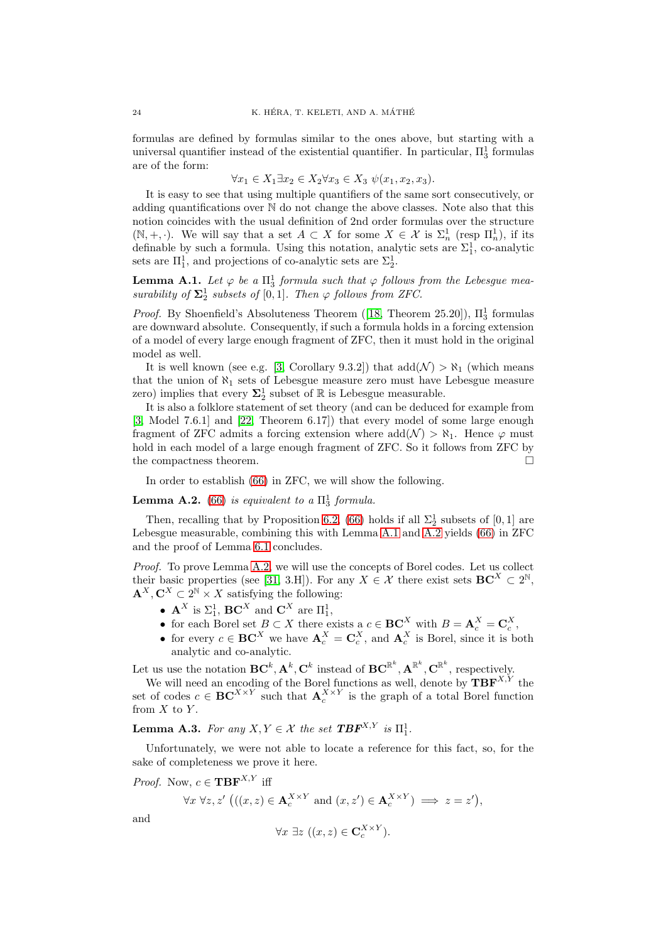formulas are defined by formulas similar to the ones above, but starting with a universal quantifier instead of the existential quantifier. In particular,  $\Pi_3^1$  formulas are of the form:

$$
\forall x_1 \in X_1 \exists x_2 \in X_2 \forall x_3 \in X_3 \ \psi(x_1, x_2, x_3).
$$

It is easy to see that using multiple quantifiers of the same sort consecutively, or adding quantifications over N do not change the above classes. Note also that this notion coincides with the usual definition of 2nd order formulas over the structure  $(N, +, \cdot)$ . We will say that a set  $A \subset X$  for some  $X \in \mathcal{X}$  is  $\Sigma_n^1$  (resp  $\Pi_n^1$ ), if its definable by such a formula. Using this notation, analytic sets are  $\Sigma_1^1$ , co-analytic sets are  $\Pi_1^1$ , and projections of co-analytic sets are  $\Sigma_2^1$ .

<span id="page-23-0"></span>**Lemma A.1.** Let  $\varphi$  be a  $\Pi_3^1$  formula such that  $\varphi$  follows from the Lebesgue measurability of  $\Sigma_2^1$  subsets of [0, 1]. Then  $\varphi$  follows from ZFC.

*Proof.*By Shoenfield's Absoluteness Theorem ([\[18,](#page-25-25) Theorem 25.20]),  $\Pi_3^1$  formulas are downward absolute. Consequently, if such a formula holds in a forcing extension of a model of every large enough fragment of ZFC, then it must hold in the original model as well.

It is well known (see e.g. [\[3,](#page-24-4) Corollary 9.3.2]) that  $\text{add}(\mathcal{N}) > \aleph_1$  (which means that the union of  $\aleph_1$  sets of Lebesgue measure zero must have Lebesgue measure zero) implies that every  $\mathbf{\Sigma}^1_2$  subset of  $\mathbb R$  is Lebesgue measurable.

It is also a folklore statement of set theory (and can be deduced for example from [\[3,](#page-24-4) Model 7.6.1] and [\[22,](#page-25-28) Theorem 6.17]) that every model of some large enough fragment of ZFC admits a forcing extension where  $add(N) > \aleph_1$ . Hence  $\varphi$  must hold in each model of a large enough fragment of ZFC. So it follows from ZFC by the compactness theorem.

In order to establish [\(66\)](#page-22-4) in ZFC, we will show the following.

<span id="page-23-1"></span>**Lemma A.2.** [\(66\)](#page-22-4) is equivalent to a  $\Pi_3^1$  formula.

Then, recalling that by Proposition [6.2,](#page-16-2) [\(66\)](#page-22-4) holds if all  $\Sigma_2^1$  subsets of [0, 1] are Lebesgue measurable, combining this with Lemma [A.1](#page-23-0) and [A.2](#page-23-1) yields [\(66\)](#page-22-4) in ZFC and the proof of Lemma [6.1](#page-16-0) concludes.

Proof. To prove Lemma [A.2,](#page-23-1) we will use the concepts of Borel codes. Let us collect their basic properties (see [\[31,](#page-25-27) 3.H]). For any  $X \in \mathcal{X}$  there exist sets  $\mathbf{BC}^X \subset 2^{\mathbb{N}},$  $\mathbf{A}^X, \mathbf{C}^X \subset 2^{\mathbb{N}} \times X$  satisfying the following:

- $\mathbf{A}^X$  is  $\Sigma_1^1$ ,  $\mathbf{B}\mathbf{C}^X$  and  $\mathbf{C}^X$  are  $\Pi_1^1$ ,
- for each Borel set  $B \subset X$  there exists a  $c \in \mathbf{BC}_{\alpha}^X$  with  $B = \mathbf{A}_c^X = \mathbf{C}_c^X$ ,
- for every  $c \in \mathbf{BC}^X$  we have  $\mathbf{A}_c^X = \mathbf{C}_c^X$ , and  $\mathbf{A}_c^X$  is Borel, since it is both analytic and co-analytic.

Let us use the notation  $\mathbf{BC}^k, \mathbf{A}^k, \mathbf{C}^k$  instead of  $\mathbf{BC}^{\mathbb{R}^k}, \mathbf{A}^{\mathbb{R}^k}, \mathbf{C}^{\mathbb{R}^k}$ , respectively.

We will need an encoding of the Borel functions as well, denote by  $\mathbf{TBF}^{X,Y}$  the set of codes  $c \in \mathbf{BC}^{X \times Y}$  such that  $\mathbf{A}_c^{X \times Y}$  is the graph of a total Borel function from  $X$  to  $Y$ .

<span id="page-23-2"></span>**Lemma A.3.** For any  $X, Y \in \mathcal{X}$  the set  $\mathbf{TBF}^{X,Y}$  is  $\Pi_1^1$ .

Unfortunately, we were not able to locate a reference for this fact, so, for the sake of completeness we prove it here.

*Proof.* Now,  $c \in \mathbf{TBF}^{X,Y}$  iff

and

$$
\forall x \ \forall z, z' \ \big( ((x, z) \in \mathbf{A}_c^{X \times Y} \text{ and } (x, z') \in \mathbf{A}_c^{X \times Y}) \implies z = z' \big),
$$

$$
\forall x \; \exists z \; ((x, z) \in \mathbf{C}_c^{X \times Y}).
$$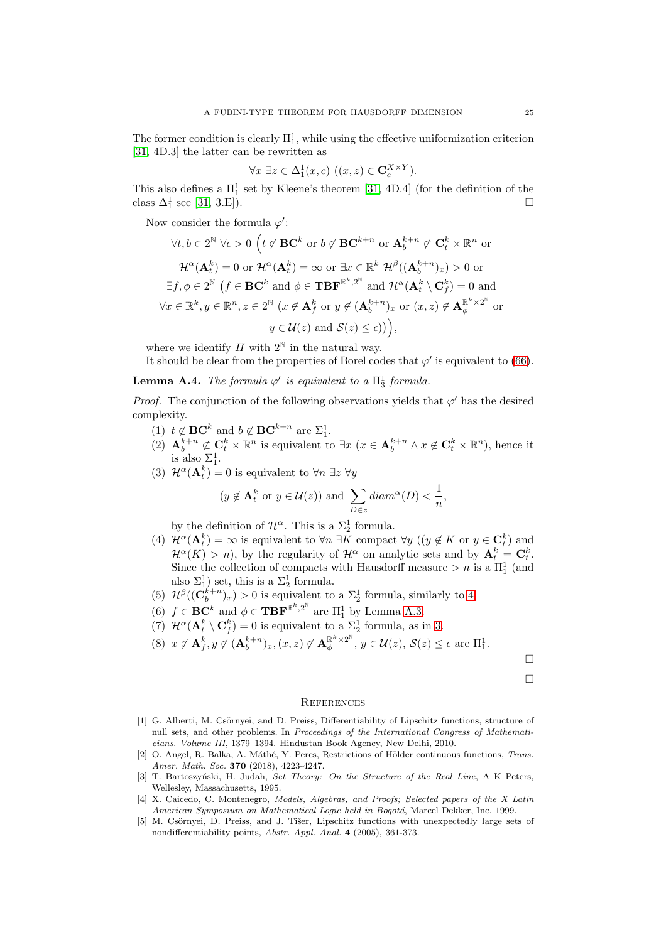The former condition is clearly  $\Pi_1^1$ , while using the effective uniformization criterion [\[31,](#page-25-27) 4D.3] the latter can be rewritten as

$$
\forall x \; \exists z \in \Delta_1^1(x, c) \; ((x, z) \in \mathbf{C}_c^{X \times Y}).
$$

This also defines a  $\Pi^1_1$  set by Kleene's theorem [\[31,](#page-25-27) 4D.4] (for the definition of the class  $\Delta_1^1$  see [\[31,](#page-25-27) 3.E]).

Now consider the formula  $\varphi'$ :

$$
\forall t, b \in 2^{\mathbb{N}} \forall \epsilon > 0 \ \left( t \notin \mathbf{BC}^k \text{ or } b \notin \mathbf{BC}^{k+n} \text{ or } \mathbf{A}_b^{k+n} \not\subset \mathbf{C}_t^k \times \mathbb{R}^n \text{ or } \n\mathcal{H}^{\alpha}(\mathbf{A}_t^k) = 0 \text{ or } \mathcal{H}^{\alpha}(\mathbf{A}_t^k) = \infty \text{ or } \exists x \in \mathbb{R}^k \ \mathcal{H}^{\beta}((\mathbf{A}_b^{k+n})_x) > 0 \text{ or } \n\exists f, \phi \in 2^{\mathbb{N}} \ (f \in \mathbf{BC}^k \text{ and } \phi \in \mathbf{TBF}^{\mathbb{R}^k, 2^{\mathbb{N}}} \text{ and } \mathcal{H}^{\alpha}(\mathbf{A}_t^k \setminus \mathbf{C}_f^k) = 0 \text{ and } \n\forall x \in \mathbb{R}^k, y \in \mathbb{R}^n, z \in 2^{\mathbb{N}} \ (x \notin \mathbf{A}_f^k \text{ or } y \notin (\mathbf{A}_b^{k+n})_x \text{ or } (x, z) \notin \mathbf{A}_{\phi}^{\mathbb{R}^k \times 2^{\mathbb{N}}} \text{ or } \n\mathcal{H}^{\alpha}(\mathbf{A}_t^k) = 0 \text{ and } \n\mathcal{H}^{\alpha}(\mathbf{A}_t^k \setminus \mathbf{C}_f^k) = 0 \text{ and } \n\mathcal{H}^{\alpha}(\mathbf{A}_t^k \setminus \mathbf{C}_f^k) = 0 \text{ and } \n\mathcal{H}^{\alpha}(\mathbf{A}_t^k \setminus \mathbf{C}_f^k) = 0 \text{ and } \n\mathcal{H}^{\alpha}(\mathbf{A}_t^k \setminus \mathbf{C}_f^k) = 0 \text{ and } \n\mathcal{H}^{\alpha}(\mathbf{A}_t^k \setminus \mathbf{C}_f^k) = 0 \text{ and } \n\mathcal{H}^{\alpha}(\mathbf{A}_t^k \setminus \mathbf{C}_f^k) = 0 \text{ and } \n\mathcal{H}^{\alpha}(\mathbf{A}_t^k \setminus \mathbf{C}_f^k) = 0 \text{
$$

where we identify H with  $2^{\mathbb{N}}$  in the natural way.

It should be clear from the properties of Borel codes that  $\varphi'$  is equivalent to [\(66\)](#page-22-4).

**Lemma A.4.** The formula  $\varphi'$  is equivalent to a  $\Pi_3^1$  formula.

*Proof.* The conjunction of the following observations yields that  $\varphi'$  has the desired complexity.

- (1)  $t \notin \mathbf{BC}^k$  and  $b \notin \mathbf{BC}^{k+n}$  are  $\Sigma_1^1$ .
- (2)  $\mathbf{A}_b^{k+n} \not\subset \mathbf{C}_t^k \times \mathbb{R}^n$  is equivalent to  $\exists x \ (x \in \mathbf{A}_b^{k+n} \land x \notin \mathbf{C}_t^k \times \mathbb{R}^n)$ , hence it is also  $\Sigma^1_1$ .
- <span id="page-24-6"></span>(3)  $\mathcal{H}^{\alpha}(\mathbf{A}_{t}^{k}) = 0$  is equivalent to  $\forall n \exists z \ \forall y$

$$
(y \notin \mathbf{A}_t^k \text{ or } y \in \mathcal{U}(z)) \text{ and } \sum_{D \in z} diam^{\alpha}(D) < \frac{1}{n},
$$

by the definition of  $\mathcal{H}^{\alpha}$ . This is a  $\Sigma_2^1$  formula.

- <span id="page-24-5"></span>(4)  $\mathcal{H}^{\alpha}(\mathbf{A}_t^k) = \infty$  is equivalent to  $\forall n \exists K$  compact  $\forall y \ ((y \notin K \text{ or } y \in \mathbf{C}_t^k))$  and  $\mathcal{H}^{\alpha}(K) > n$ , by the regularity of  $\mathcal{H}^{\alpha}$  on analytic sets and by  $\mathbf{A}_t^k = \mathbf{C}_t^k$ . Since the collection of compacts with Hausdorff measure  $>n$  is a  $\Pi_1^1$  (and also  $\Sigma_1^1$ ) set, this is a  $\Sigma_2^1$  formula.
- (5)  $\mathcal{H}^{\beta}((\mathbf{C}_{b}^{k+n})_{x}) > 0$  is equivalent to a  $\Sigma_{2}^{1}$  formula, similarly to [4.](#page-24-5)
- (6)  $f \in \mathbf{BC}^k$  and  $\phi \in \mathbf{TBF}^{\mathbb{R}^k, 2^{\mathbb{N}}}$  are  $\Pi_1^1$  by Lemma [A.3.](#page-23-2)
- (7)  $\mathcal{H}^{\alpha}(\mathbf{A}_{t}^{k} \setminus \mathbf{C}_{f}^{k}) = 0$  is equivalent to a  $\Sigma_{2}^{1}$  formula, as in [3.](#page-24-6)

$$
(8) \ \ x \notin \mathbf{A}_f^k, y \notin (\mathbf{A}_b^{k+n})_x, (x, z) \notin \mathbf{A}_{\phi}^{\mathbb{R}^k \times 2^{\mathbb{N}}}, y \in \mathcal{U}(z), \mathcal{S}(z) \le \epsilon \text{ are } \Pi_1^1.
$$

 $\Box$  $\Box$ 

### <span id="page-24-0"></span>**REFERENCES**

- <span id="page-24-2"></span>[1] G. Alberti, M. Csörnyei, and D. Preiss, Differentiability of Lipschitz functions, structure of null sets, and other problems. In Proceedings of the International Congress of Mathematicians. Volume III, 1379–1394. Hindustan Book Agency, New Delhi, 2010.
- <span id="page-24-3"></span>[2] O. Angel, R. Balka, A. Máthé, Y. Peres, Restrictions of Hölder continuous functions, Trans. Amer. Math. Soc. 370 (2018), 4223-4247.
- <span id="page-24-4"></span>[3] T. Bartoszyński, H. Judah, Set Theory: On the Structure of the Real Line, A K Peters, Wellesley, Massachusetts, 1995.
- [4] X. Caicedo, C. Montenegro, Models, Algebras, and Proofs; Selected papers of the X Latin American Symposium on Mathematical Logic held in Bogotá, Marcel Dekker, Inc. 1999.
- <span id="page-24-1"></span>[5] M. Csörnyei, D. Preiss, and J. Tišer, Lipschitz functions with unexpectedly large sets of nondifferentiability points, Abstr. Appl. Anal. 4 (2005), 361-373.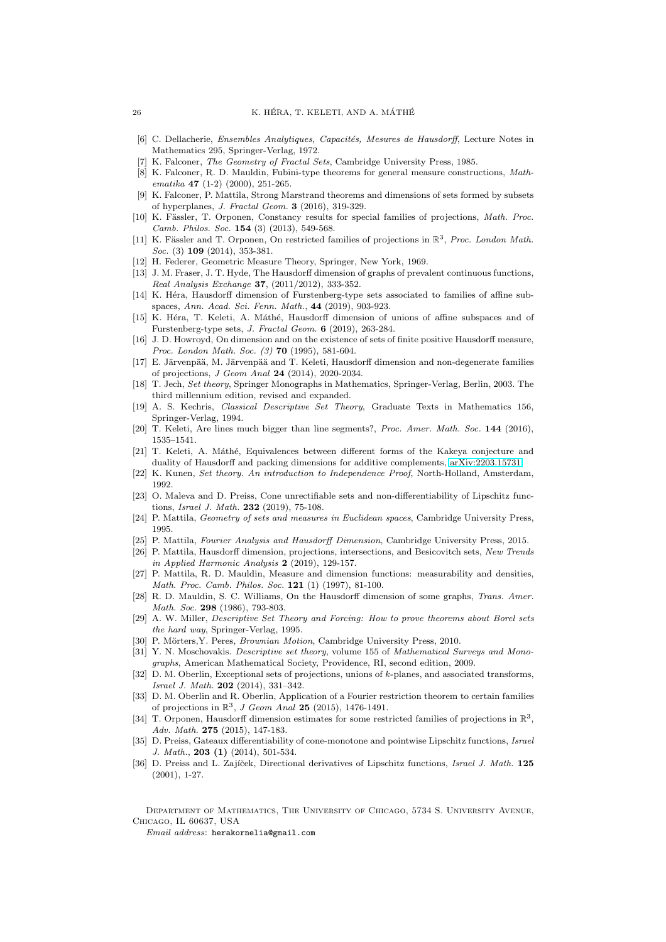- <span id="page-25-0"></span>[6] C. Dellacherie, Ensembles Analytiques, Capacités, Mesures de Hausdorff, Lecture Notes in Mathematics 295, Springer-Verlag, 1972.
- <span id="page-25-26"></span>K. Falconer, The Geometry of Fractal Sets, Cambridge University Press, 1985.
- [8] K. Falconer, R. D. Mauldin, Fubini-type theorems for general measure constructions, Mathematika 47 (1-2) (2000), 251-265.
- <span id="page-25-9"></span>[9] K. Falconer, P. Mattila, Strong Marstrand theorems and dimensions of sets formed by subsets of hyperplanes, J. Fractal Geom. 3 (2016), 319-329.
- <span id="page-25-20"></span>[10] K. Fässler, T. Orponen, Constancy results for special families of projections, Math. Proc. Camb. Philos. Soc. 154 (3) (2013), 549-568.
- <span id="page-25-17"></span>[11] K. Fässler and T. Orponen, On restricted families of projections in  $\mathbb{R}^3$ , Proc. London Math. Soc. (3) **109** (2014), 353-381.
- <span id="page-25-22"></span><span id="page-25-2"></span>[12] H. Federer, Geometric Measure Theory, Springer, New York, 1969.
- [13] J. M. Fraser, J. T. Hyde, The Hausdorff dimension of graphs of prevalent continuous functions, Real Analysis Exchange 37, (2011/2012), 333-352.
- <span id="page-25-11"></span>[14] K. Héra, Hausdorff dimension of Furstenberg-type sets associated to families of affine subspaces, Ann. Acad. Sci. Fenn. Math., 44 (2019), 903-923.
- <span id="page-25-10"></span>[15] K. Héra, T. Keleti, A. Máthé, Hausdorff dimension of unions of affine subspaces and of Furstenberg-type sets, J. Fractal Geom. 6 (2019), 263-284.
- <span id="page-25-23"></span>[16] J. D. Howroyd, On dimension and on the existence of sets of finite positive Hausdorff measure, Proc. London Math. Soc. (3) **70** (1995), 581-604.
- <span id="page-25-16"></span>[17] E. Järvenpää, M. Järvenpää and T. Keleti, Hausdorff dimension and non-degenerate families of projections, J Geom Anal 24 (2014), 2020-2034.
- <span id="page-25-25"></span>[18] T. Jech, Set theory, Springer Monographs in Mathematics, Springer-Verlag, Berlin, 2003. The third millennium edition, revised and expanded.
- <span id="page-25-24"></span>[19] A. S. Kechris, Classical Descriptive Set Theory, Graduate Texts in Mathematics 156, Springer-Verlag, 1994.
- <span id="page-25-13"></span><span id="page-25-12"></span>[20] T. Keleti, Are lines much bigger than line segments?, Proc. Amer. Math. Soc. 144 (2016), 1535–1541.
- [21] T. Keleti, A. Máthé, Equivalences between different forms of the Kakeya conjecture and duality of Hausdorff and packing dimensions for additive complements, [arXiv:2203.15731.](http://arxiv.org/abs/2203.15731)
- <span id="page-25-28"></span><span id="page-25-6"></span>[22] K. Kunen, Set theory. An introduction to Independence Proof, North-Holland, Amsterdam, 1992.
- [23] O. Maleva and D. Preiss, Cone unrectifiable sets and non-differentiability of Lipschitz functions, Israel J. Math. 232 (2019), 75-108.
- <span id="page-25-3"></span>[24] P. Mattila, Geometry of sets and measures in Euclidean spaces, Cambridge University Press, 1995.
- <span id="page-25-15"></span>[25] P. Mattila, Fourier Analysis and Hausdorff Dimension, Cambridge University Press, 2015.
- [26] P. Mattila, Hausdorff dimension, projections, intersections, and Besicovitch sets, New Trends in Applied Harmonic Analysis 2 (2019), 129-157.
- <span id="page-25-8"></span>[27] P. Mattila, R. D. Mauldin, Measure and dimension functions: measurability and densities, Math. Proc. Camb. Philos. Soc. 121 (1) (1997), 81-100.
- <span id="page-25-1"></span>[28] R. D. Mauldin, S. C. Williams, On the Hausdorff dimension of some graphs, Trans. Amer. Math. Soc. 298 (1986), 793-803.
- [29] A. W. Miller, Descriptive Set Theory and Forcing: How to prove theorems about Borel sets the hard way, Springer-Verlag, 1995.
- <span id="page-25-27"></span><span id="page-25-21"></span>[30] P. Mörters, Y. Peres, *Brownian Motion*, Cambridge University Press, 2010.
- [31] Y. N. Moschovakis. *Descriptive set theory*, volume 155 of Mathematical Surveys and Monographs, American Mathematical Society, Providence, RI, second edition, 2009.
- <span id="page-25-14"></span>[32] D. M. Oberlin, Exceptional sets of projections, unions of k-planes, and associated transforms, Israel J. Math. 202 (2014), 331–342.
- <span id="page-25-19"></span>[33] D. M. Oberlin and R. Oberlin, Application of a Fourier restriction theorem to certain families of projections in  $\mathbb{R}^3$ , J Geom Anal 25 (2015), 1476-1491.
- <span id="page-25-18"></span>[34] T. Orponen, Hausdorff dimension estimates for some restricted families of projections in  $\mathbb{R}^3$ , Adv. Math. 275 (2015), 147-183.
- <span id="page-25-5"></span>[35] D. Preiss, Gateaux differentiability of cone-monotone and pointwise Lipschitz functions, Israel J. Math., 203 (1) (2014), 501-534.
- <span id="page-25-4"></span>[36] D. Preiss and L. Zajíček, Directional derivatives of Lipschitz functions, Israel J. Math. 125 (2001), 1-27.

Department of Mathematics, The University of Chicago, 5734 S. University Avenue, Chicago, IL 60637, USA

Email address: herakornelia@gmail.com

<span id="page-25-7"></span>